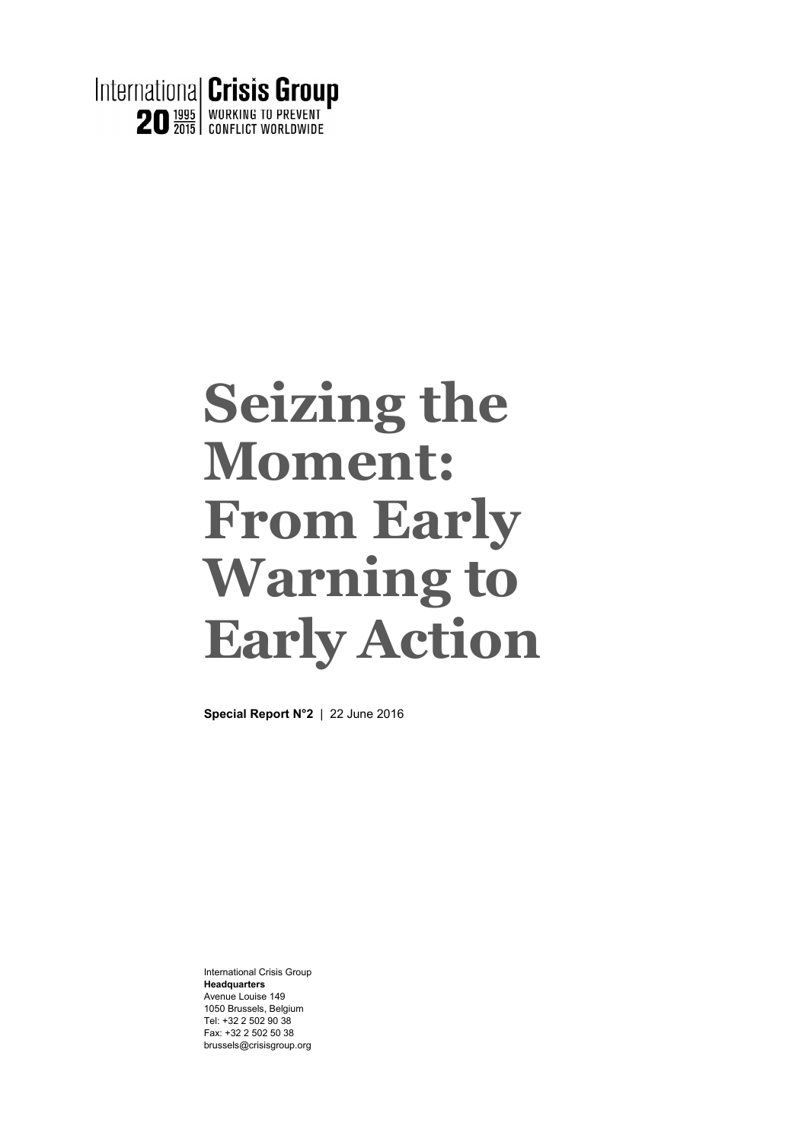

# **Seizing the Moment: From Early Warning to Early Action**

**Special Report N°2** | 22 June 2016

International Crisis Group **Headquarters**  Avenue Louise 149 1050 Brussels, Belgium Tel: +32 2 502 90 38 Fax: +32 2 502 50 38 brussels@crisisgroup.org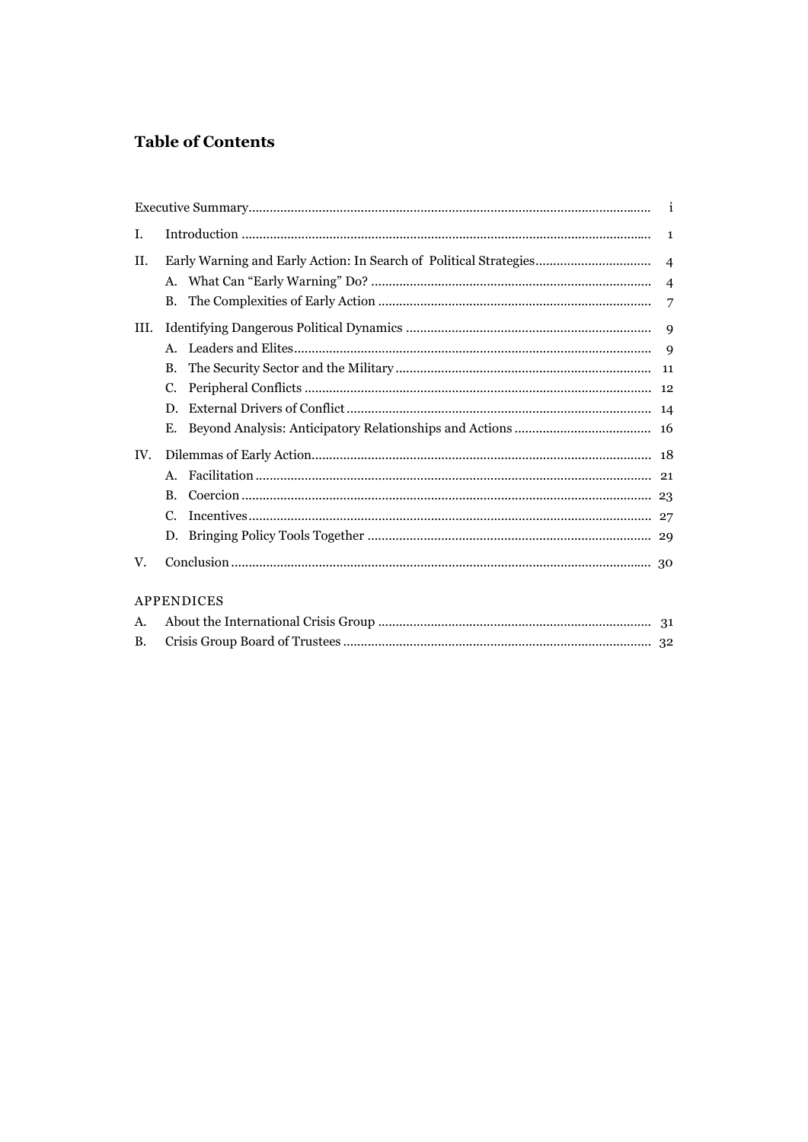## **Table of Contents**

| L.                |                |  | 1 |
|-------------------|----------------|--|---|
| II.               |                |  |   |
|                   |                |  |   |
|                   | B.             |  | 7 |
| III.              |                |  |   |
|                   | $A_{-}$        |  | 9 |
|                   | B.             |  |   |
|                   | $C_{\cdot}$    |  |   |
|                   | D.             |  |   |
|                   | Е.             |  |   |
| IV.               |                |  |   |
|                   | $\mathsf{A}$ . |  |   |
|                   | B.             |  |   |
|                   | C.             |  |   |
|                   |                |  |   |
| V.                |                |  |   |
| <b>APPENDICES</b> |                |  |   |
| A.                |                |  |   |
| <b>B.</b>         |                |  |   |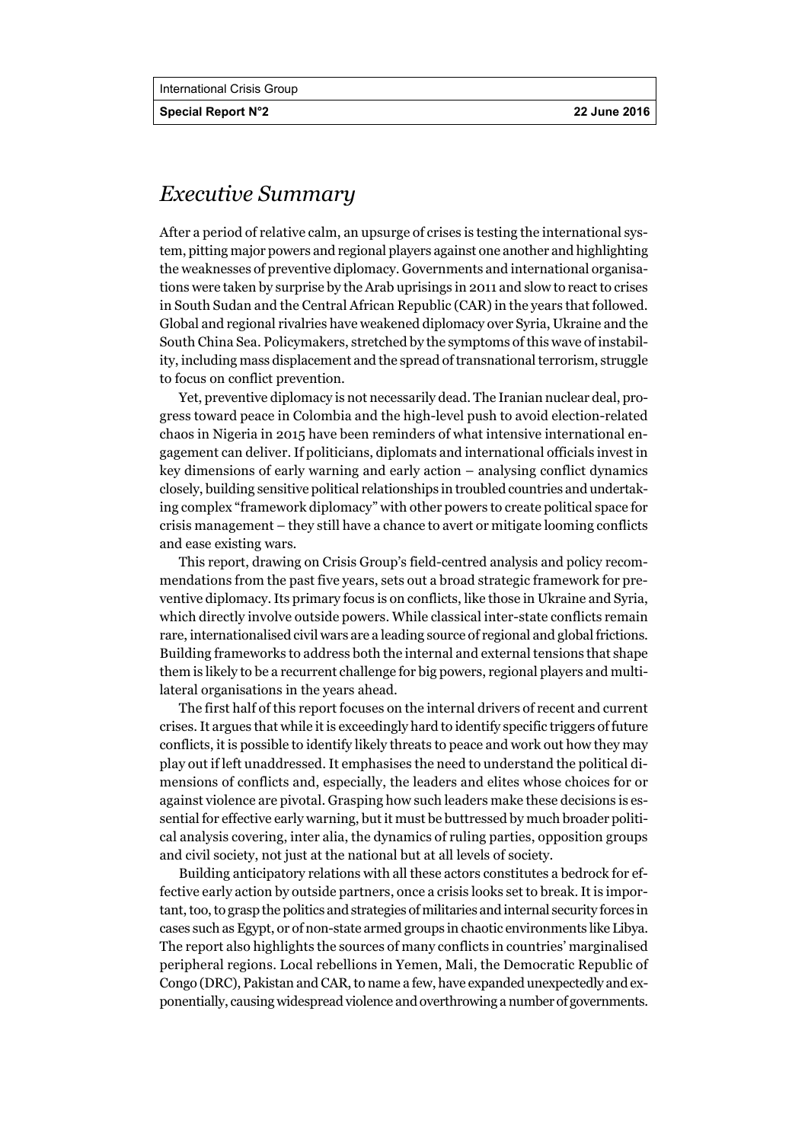**Special Report N°2 22 June 2016** 

# *Executive Summary*

After a period of relative calm, an upsurge of crises is testing the international system, pitting major powers and regional players against one another and highlighting the weaknesses of preventive diplomacy. Governments and international organisations were taken by surprise by the Arab uprisings in 2011 and slow to react to crises in South Sudan and the Central African Republic (CAR) in the years that followed. Global and regional rivalries have weakened diplomacy over Syria, Ukraine and the South China Sea. Policymakers, stretched by the symptoms of this wave of instability, including mass displacement and the spread of transnational terrorism, struggle to focus on conflict prevention.

Yet, preventive diplomacy is not necessarily dead. The Iranian nuclear deal, progress toward peace in Colombia and the high-level push to avoid election-related chaos in Nigeria in 2015 have been reminders of what intensive international engagement can deliver. If politicians, diplomats and international officials invest in key dimensions of early warning and early action – analysing conflict dynamics closely, building sensitive political relationships in troubled countries and undertaking complex "framework diplomacy" with other powers to create political space for crisis management – they still have a chance to avert or mitigate looming conflicts and ease existing wars.

This report, drawing on Crisis Group's field-centred analysis and policy recommendations from the past five years, sets out a broad strategic framework for preventive diplomacy. Its primary focus is on conflicts, like those in Ukraine and Syria, which directly involve outside powers. While classical inter-state conflicts remain rare, internationalised civil wars are a leading source of regional and global frictions. Building frameworks to address both the internal and external tensions that shape them is likely to be a recurrent challenge for big powers, regional players and multilateral organisations in the years ahead.

The first half of this report focuses on the internal drivers of recent and current crises. It argues that while it is exceedingly hard to identify specific triggers of future conflicts, it is possible to identify likely threats to peace and work out how they may play out if left unaddressed. It emphasises the need to understand the political dimensions of conflicts and, especially, the leaders and elites whose choices for or against violence are pivotal. Grasping how such leaders make these decisions is essential for effective early warning, but it must be buttressed by much broader political analysis covering, inter alia, the dynamics of ruling parties, opposition groups and civil society, not just at the national but at all levels of society.

Building anticipatory relations with all these actors constitutes a bedrock for effective early action by outside partners, once a crisis looks set to break. It is important, too, to grasp the politics and strategies of militaries and internal security forces in cases such as Egypt, or of non-state armed groups in chaotic environments like Libya. The report also highlights the sources of many conflicts in countries' marginalised peripheral regions. Local rebellions in Yemen, Mali, the Democratic Republic of Congo (DRC), Pakistan and CAR, to name a few, have expanded unexpectedly and exponentially, causing widespread violence and overthrowing a number of governments.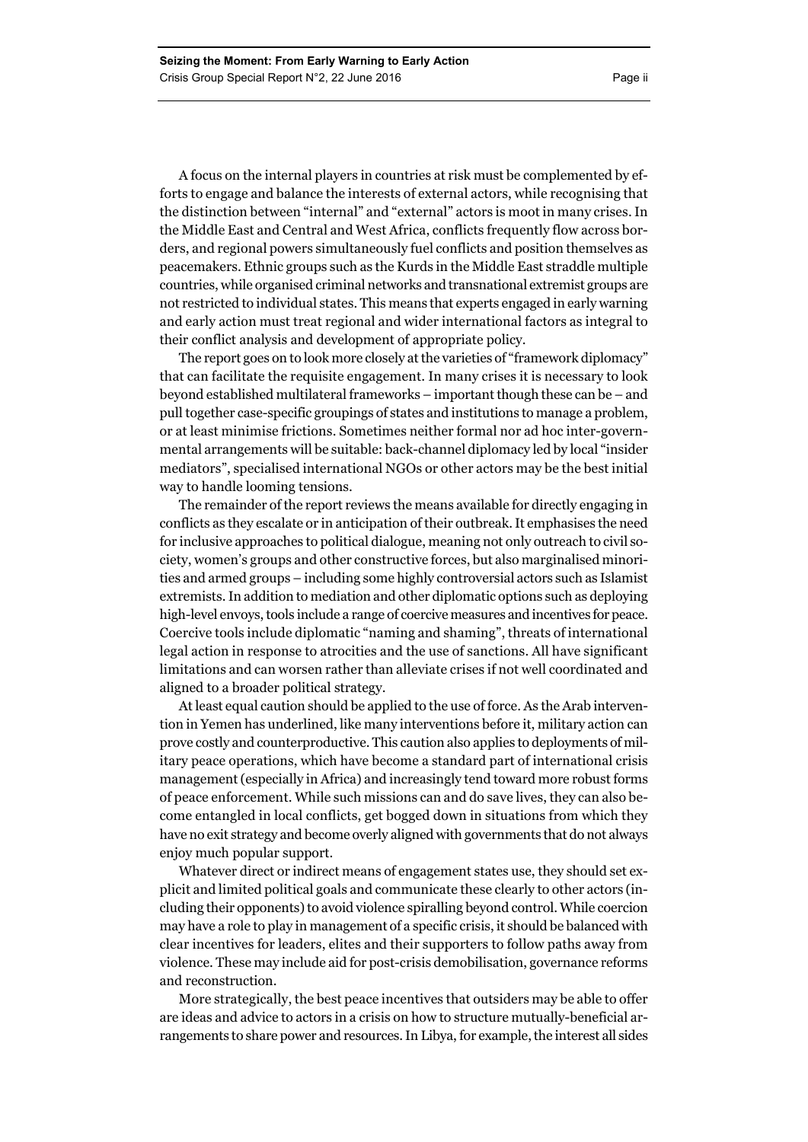A focus on the internal players in countries at risk must be complemented by efforts to engage and balance the interests of external actors, while recognising that the distinction between "internal" and "external" actors is moot in many crises. In the Middle East and Central and West Africa, conflicts frequently flow across borders, and regional powers simultaneously fuel conflicts and position themselves as peacemakers. Ethnic groups such as the Kurds in the Middle East straddle multiple countries, while organised criminal networks and transnational extremist groups are not restricted to individual states. This means that experts engaged in early warning and early action must treat regional and wider international factors as integral to their conflict analysis and development of appropriate policy.

The report goes on to look more closely at the varieties of "framework diplomacy" that can facilitate the requisite engagement. In many crises it is necessary to look beyond established multilateral frameworks – important though these can be – and pull together case-specific groupings of states and institutions to manage a problem, or at least minimise frictions. Sometimes neither formal nor ad hoc inter-governmental arrangements will be suitable: back-channel diplomacy led by local "insider mediators", specialised international NGOs or other actors may be the best initial way to handle looming tensions.

The remainder of the report reviews the means available for directly engaging in conflicts as they escalate or in anticipation of their outbreak. It emphasises the need for inclusive approaches to political dialogue, meaning not only outreach to civil society, women's groups and other constructive forces, but also marginalised minorities and armed groups – including some highly controversial actors such as Islamist extremists. In addition to mediation and other diplomatic options such as deploying high-level envoys, tools include a range of coercive measures and incentives for peace. Coercive tools include diplomatic "naming and shaming", threats of international legal action in response to atrocities and the use of sanctions. All have significant limitations and can worsen rather than alleviate crises if not well coordinated and aligned to a broader political strategy.

At least equal caution should be applied to the use of force. As the Arab intervention in Yemen has underlined, like many interventions before it, military action can prove costly and counterproductive. This caution also applies to deployments of military peace operations, which have become a standard part of international crisis management (especially in Africa) and increasingly tend toward more robust forms of peace enforcement. While such missions can and do save lives, they can also become entangled in local conflicts, get bogged down in situations from which they have no exit strategy and become overly aligned with governments that do not always enjoy much popular support.

Whatever direct or indirect means of engagement states use, they should set explicit and limited political goals and communicate these clearly to other actors (including their opponents) to avoid violence spiralling beyond control. While coercion may have a role to play in management of a specific crisis, it should be balanced with clear incentives for leaders, elites and their supporters to follow paths away from violence. These may include aid for post-crisis demobilisation, governance reforms and reconstruction.

More strategically, the best peace incentives that outsiders may be able to offer are ideas and advice to actors in a crisis on how to structure mutually-beneficial arrangements to share power and resources. In Libya, for example, the interest all sides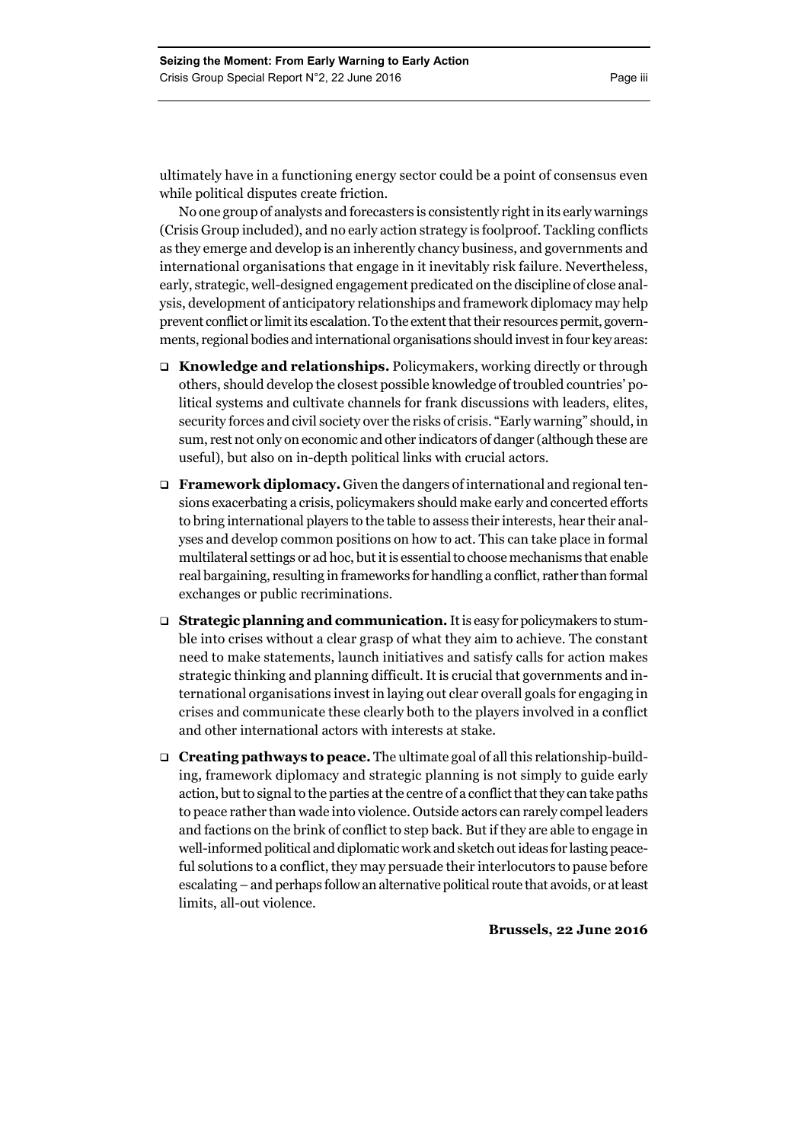ultimately have in a functioning energy sector could be a point of consensus even while political disputes create friction.

No one group of analysts and forecasters is consistently right in its early warnings (Crisis Group included), and no early action strategy is foolproof. Tackling conflicts as they emerge and develop is an inherently chancy business, and governments and international organisations that engage in it inevitably risk failure. Nevertheless, early, strategic, well-designed engagement predicated on the discipline of close analysis, development of anticipatory relationships and framework diplomacy may help prevent conflict or limit its escalation. To the extent that their resources permit, governments, regional bodies and international organisations should invest in four key areas:

- □ Knowledge and relationships. Policymakers, working directly or through others, should develop the closest possible knowledge of troubled countries' political systems and cultivate channels for frank discussions with leaders, elites, security forces and civil society over the risks of crisis. "Early warning" should, in sum, rest not only on economic and other indicators of danger (although these are useful), but also on in-depth political links with crucial actors.
- **Framework diplomacy.** Given the dangers of international and regional tensions exacerbating a crisis, policymakers should make early and concerted efforts to bring international players to the table to assess their interests, hear their analyses and develop common positions on how to act. This can take place in formal multilateral settings or ad hoc, but it is essential to choose mechanisms that enable real bargaining, resulting in frameworks for handling a conflict, rather than formal exchanges or public recriminations.
- □ **Strategic planning and communication.** It is easy for policymakers to stumble into crises without a clear grasp of what they aim to achieve. The constant need to make statements, launch initiatives and satisfy calls for action makes strategic thinking and planning difficult. It is crucial that governments and international organisations invest in laying out clear overall goals for engaging in crises and communicate these clearly both to the players involved in a conflict and other international actors with interests at stake.
- **Creating pathways to peace.** The ultimate goal of all this relationship-building, framework diplomacy and strategic planning is not simply to guide early action, but to signal to the parties at the centre of a conflict that they can take paths to peace rather than wade into violence. Outside actors can rarely compel leaders and factions on the brink of conflict to step back. But if they are able to engage in well-informed political and diplomatic work and sketch out ideas for lasting peaceful solutions to a conflict, they may persuade their interlocutors to pause before escalating – and perhaps follow an alternative political route that avoids, or at least limits, all-out violence.

**Brussels, 22 June 2016**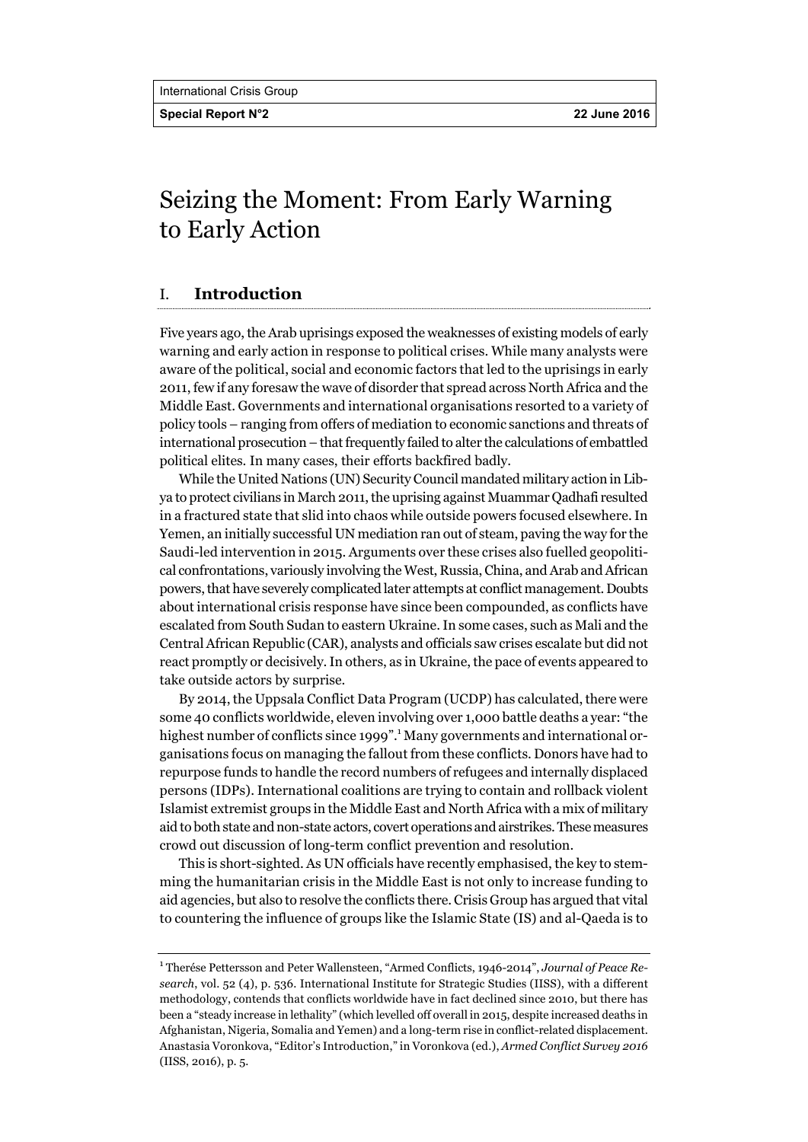**Special Report N°2 22 June 2016** 

# Seizing the Moment: From Early Warning to Early Action

#### I. **Introduction**

Five years ago, the Arab uprisings exposed the weaknesses of existing models of early warning and early action in response to political crises. While many analysts were aware of the political, social and economic factors that led to the uprisings in early 2011, few if any foresaw the wave of disorder that spread across North Africa and the Middle East. Governments and international organisations resorted to a variety of policy tools – ranging from offers of mediation to economic sanctions and threats of international prosecution – that frequently failed to alter the calculations of embattled political elites. In many cases, their efforts backfired badly.

While the United Nations (UN) Security Council mandated military action in Libya to protect civilians in March 2011, the uprising against Muammar Qadhafi resulted in a fractured state that slid into chaos while outside powers focused elsewhere. In Yemen, an initially successful UN mediation ran out of steam, paving the way for the Saudi-led intervention in 2015. Arguments over these crises also fuelled geopolitical confrontations, variously involving the West, Russia, China, and Arab and African powers, that have severely complicated later attempts at conflict management. Doubts about international crisis response have since been compounded, as conflicts have escalated from South Sudan to eastern Ukraine. In some cases, such as Mali and the Central African Republic (CAR), analysts and officials saw crises escalate but did not react promptly or decisively. In others, as in Ukraine, the pace of events appeared to take outside actors by surprise.

By 2014, the Uppsala Conflict Data Program (UCDP) has calculated, there were some 40 conflicts worldwide, eleven involving over 1,000 battle deaths a year: "the highest number of conflicts since 1999".<sup>1</sup> Many governments and international organisations focus on managing the fallout from these conflicts. Donors have had to repurpose funds to handle the record numbers of refugees and internally displaced persons (IDPs). International coalitions are trying to contain and rollback violent Islamist extremist groups in the Middle East and North Africa with a mix of military aid to both state and non-state actors, covert operations and airstrikes. These measures crowd out discussion of long-term conflict prevention and resolution.

This is short-sighted. As UN officials have recently emphasised, the key to stemming the humanitarian crisis in the Middle East is not only to increase funding to aid agencies, but also to resolve the conflicts there. Crisis Group has argued that vital to countering the influence of groups like the Islamic State (IS) and al-Qaeda is to

<sup>1</sup> Therése Pettersson and Peter Wallensteen, "Armed Conflicts, 1946-2014", *Journal of Peace Research*, vol. 52 (4), p. 536. International Institute for Strategic Studies (IISS), with a different methodology, contends that conflicts worldwide have in fact declined since 2010, but there has been a "steady increase in lethality" (which levelled off overall in 2015, despite increased deaths in Afghanistan, Nigeria, Somalia and Yemen) and a long-term rise in conflict-related displacement. Anastasia Voronkova, "Editor's Introduction," in Voronkova (ed.), *Armed Conflict Survey 2016* (IISS, 2016), p. 5.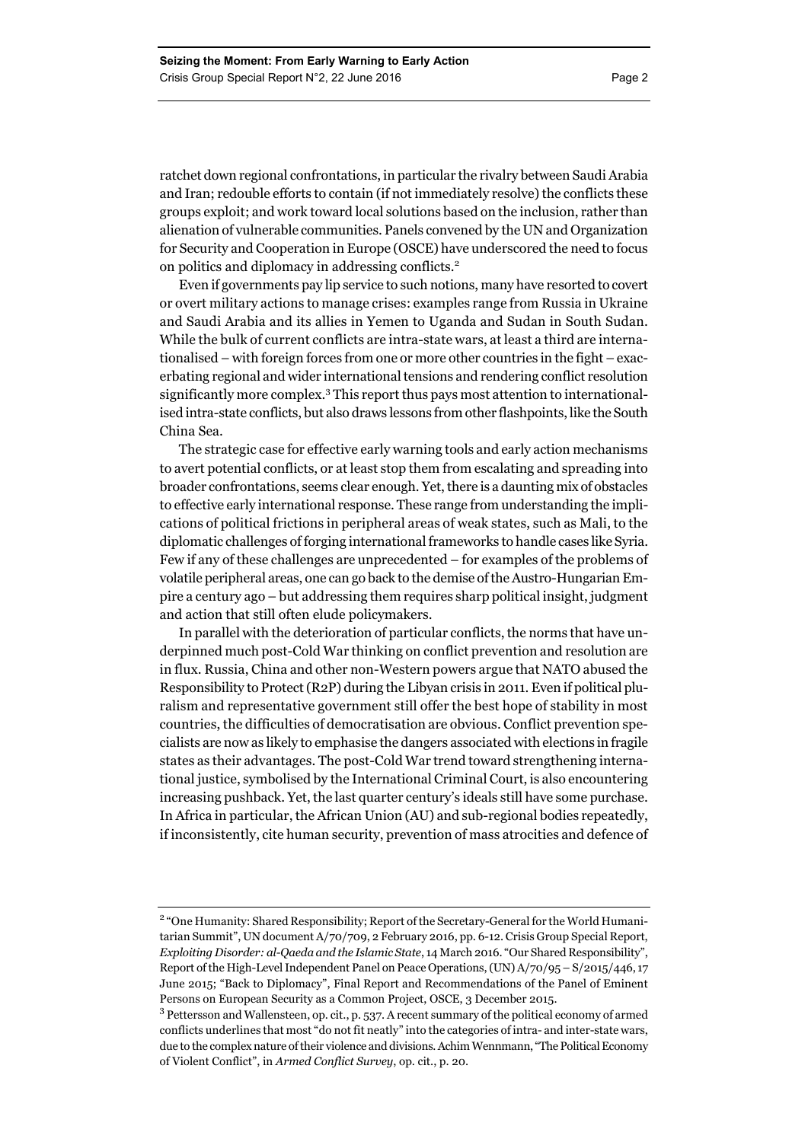ratchet down regional confrontations, in particular the rivalry between Saudi Arabia and Iran; redouble efforts to contain (if not immediately resolve) the conflicts these groups exploit; and work toward local solutions based on the inclusion, rather than alienation of vulnerable communities. Panels convened by the UN and Organization for Security and Cooperation in Europe (OSCE) have underscored the need to focus on politics and diplomacy in addressing conflicts.<sup>2</sup>

Even if governments pay lip service to such notions, many have resorted to covert or overt military actions to manage crises: examples range from Russia in Ukraine and Saudi Arabia and its allies in Yemen to Uganda and Sudan in South Sudan. While the bulk of current conflicts are intra-state wars, at least a third are internationalised – with foreign forces from one or more other countries in the fight – exacerbating regional and wider international tensions and rendering conflict resolution significantly more complex.<sup>3</sup> This report thus pays most attention to internationalised intra-state conflicts, but also draws lessons from other flashpoints, like the South China Sea.

The strategic case for effective early warning tools and early action mechanisms to avert potential conflicts, or at least stop them from escalating and spreading into broader confrontations, seems clear enough. Yet, there is a daunting mix of obstacles to effective early international response. These range from understanding the implications of political frictions in peripheral areas of weak states, such as Mali, to the diplomatic challenges of forging international frameworks to handle cases like Syria. Few if any of these challenges are unprecedented – for examples of the problems of volatile peripheral areas, one can go back to the demise of the Austro-Hungarian Empire a century ago – but addressing them requires sharp political insight, judgment and action that still often elude policymakers.

In parallel with the deterioration of particular conflicts, the norms that have underpinned much post-Cold War thinking on conflict prevention and resolution are in flux. Russia, China and other non-Western powers argue that NATO abused the Responsibility to Protect (R2P) during the Libyan crisis in 2011. Even if political pluralism and representative government still offer the best hope of stability in most countries, the difficulties of democratisation are obvious. Conflict prevention specialists are now as likely to emphasise the dangers associated with elections in fragile states as their advantages. The post-Cold War trend toward strengthening international justice, symbolised by the International Criminal Court, is also encountering increasing pushback. Yet, the last quarter century's ideals still have some purchase. In Africa in particular, the African Union (AU) and sub-regional bodies repeatedly, if inconsistently, cite human security, prevention of mass atrocities and defence of

<sup>&</sup>lt;sup>2</sup> "One Humanity: Shared Responsibility; Report of the Secretary-General for the World Humanitarian Summit", UN document A/70/709, 2 February 2016, pp. 6-12. Crisis Group Special Report, *Exploiting Disorder: al-Qaeda and the Islamic State*, 14 March 2016. "Our Shared Responsibility", Report of the High-Level Independent Panel on Peace Operations, (UN) A/70/95 – S/2015/446, 17 June 2015; "Back to Diplomacy", Final Report and Recommendations of the Panel of Eminent Persons on European Security as a Common Project, OSCE, 3 December 2015.

<sup>&</sup>lt;sup>3</sup> Pettersson and Wallensteen, op. cit., p. 537. A recent summary of the political economy of armed conflicts underlines that most "do not fit neatly" into the categories of intra- and inter-state wars, due to the complex nature of their violence and divisions. Achim Wennmann, "The Political Economy of Violent Conflict", in *Armed Conflict Survey*, op. cit., p. 20.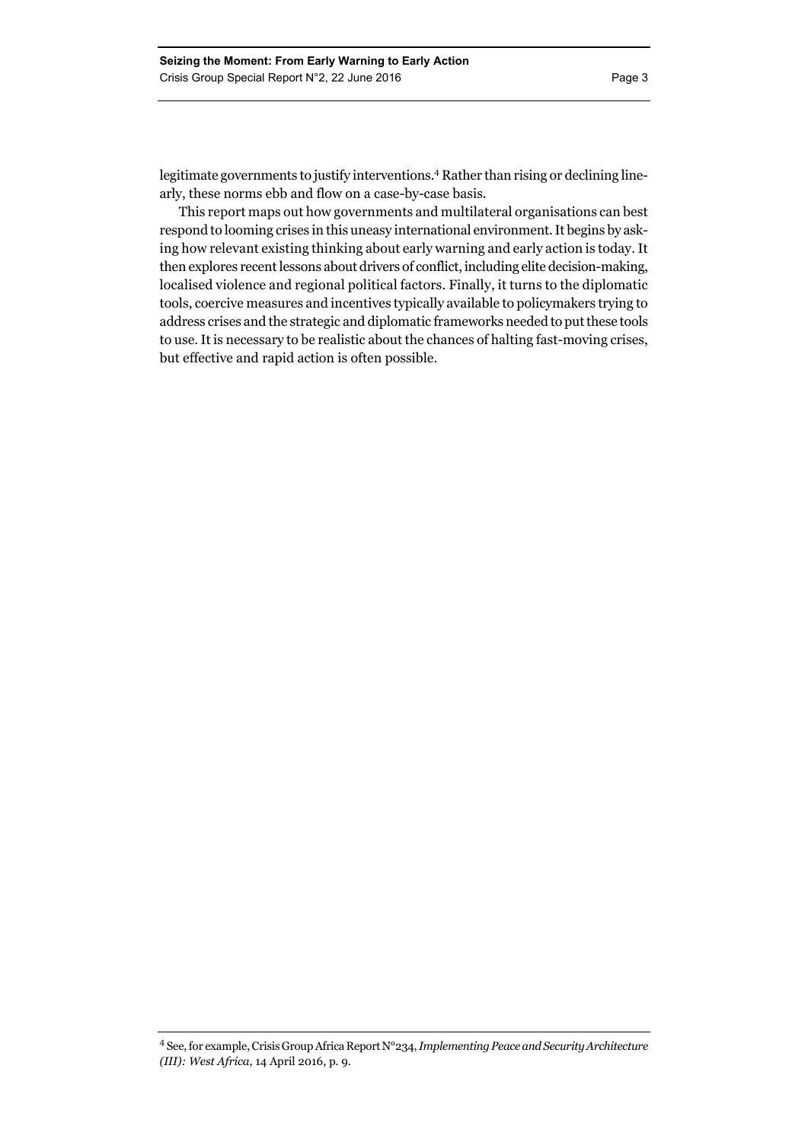legitimate governments to justify interventions.4 Rather than rising or declining linearly, these norms ebb and flow on a case-by-case basis.

This report maps out how governments and multilateral organisations can best respond to looming crises in this uneasy international environment. It begins by asking how relevant existing thinking about early warning and early action is today. It then explores recent lessons about drivers of conflict, including elite decision-making, localised violence and regional political factors. Finally, it turns to the diplomatic tools, coercive measures and incentives typically available to policymakers trying to address crises and the strategic and diplomatic frameworks needed to put these tools to use. It is necessary to be realistic about the chances of halting fast-moving crises, but effective and rapid action is often possible.

<sup>4</sup> See, for example, Crisis Group Africa Report N°234, *Implementing Peace and Security Architecture (III): West Africa*, 14 April 2016, p. 9.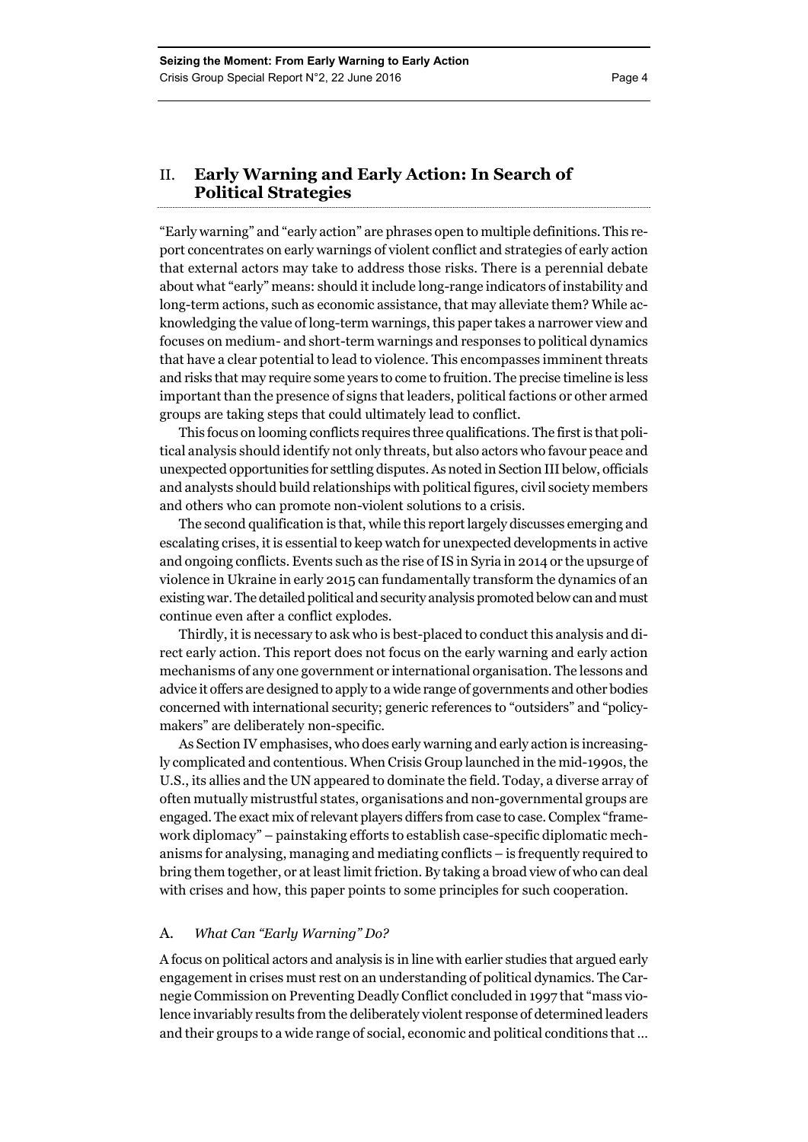### II. **Early Warning and Early Action: In Search of Political Strategies**

"Early warning" and "early action" are phrases open to multiple definitions. This report concentrates on early warnings of violent conflict and strategies of early action that external actors may take to address those risks. There is a perennial debate about what "early" means: should it include long-range indicators of instability and long-term actions, such as economic assistance, that may alleviate them? While acknowledging the value of long-term warnings, this paper takes a narrower view and focuses on medium- and short-term warnings and responses to political dynamics that have a clear potential to lead to violence. This encompasses imminent threats and risks that may require some years to come to fruition. The precise timeline is less important than the presence of signs that leaders, political factions or other armed groups are taking steps that could ultimately lead to conflict.

This focus on looming conflicts requires three qualifications. The first is that political analysis should identify not only threats, but also actors who favour peace and unexpected opportunities for settling disputes. As noted in Section III below, officials and analysts should build relationships with political figures, civil society members and others who can promote non-violent solutions to a crisis.

The second qualification is that, while this report largely discusses emerging and escalating crises, it is essential to keep watch for unexpected developments in active and ongoing conflicts. Events such as the rise of IS in Syria in 2014 or the upsurge of violence in Ukraine in early 2015 can fundamentally transform the dynamics of an existing war. The detailed political and security analysis promoted below can and must continue even after a conflict explodes.

Thirdly, it is necessary to ask who is best-placed to conduct this analysis and direct early action. This report does not focus on the early warning and early action mechanisms of any one government or international organisation. The lessons and advice it offers are designed to apply to a wide range of governments and other bodies concerned with international security; generic references to "outsiders" and "policymakers" are deliberately non-specific.

As Section IV emphasises, who does early warning and early action is increasingly complicated and contentious. When Crisis Group launched in the mid-1990s, the U.S., its allies and the UN appeared to dominate the field. Today, a diverse array of often mutually mistrustful states, organisations and non-governmental groups are engaged. The exact mix of relevant players differs from case to case. Complex "framework diplomacy" – painstaking efforts to establish case-specific diplomatic mechanisms for analysing, managing and mediating conflicts – is frequently required to bring them together, or at least limit friction. By taking a broad view of who can deal with crises and how, this paper points to some principles for such cooperation.

#### A. *What Can "Early Warning" Do?*

A focus on political actors and analysis is in line with earlier studies that argued early engagement in crises must rest on an understanding of political dynamics. The Carnegie Commission on Preventing Deadly Conflict concluded in 1997 that "mass violence invariably results from the deliberately violent response of determined leaders and their groups to a wide range of social, economic and political conditions that …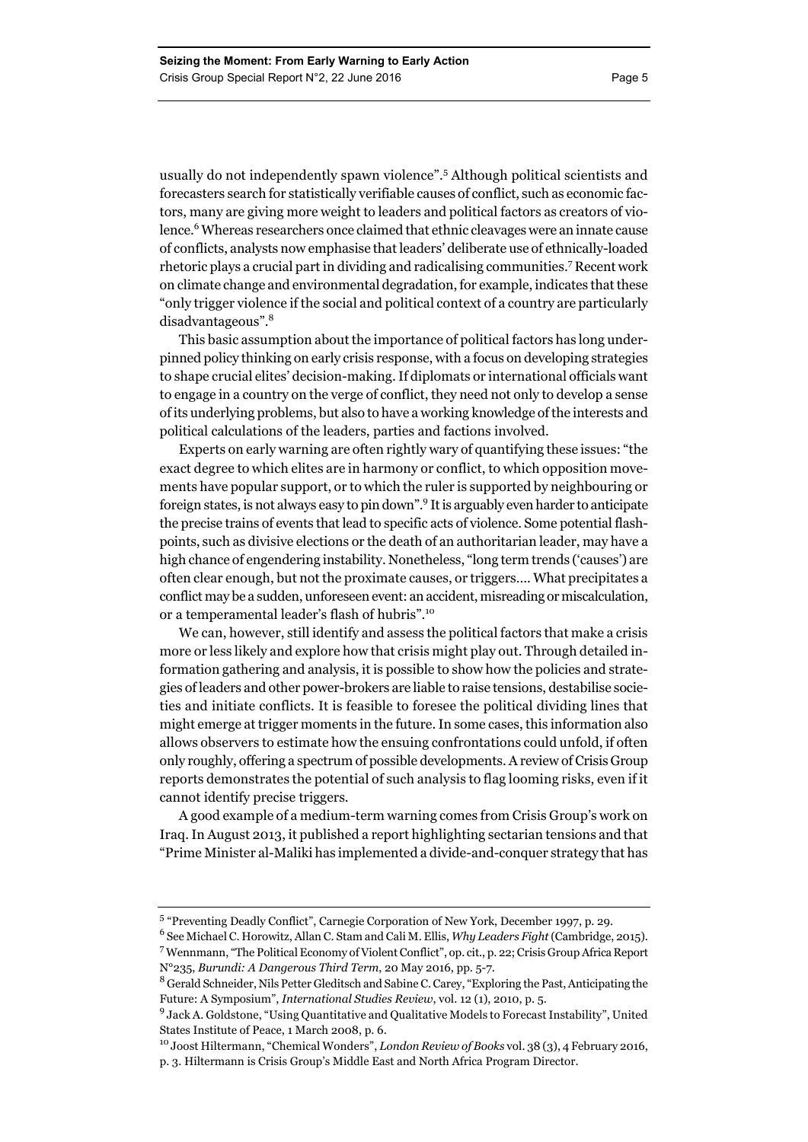usually do not independently spawn violence".<sup>5</sup> Although political scientists and forecasters search for statistically verifiable causes of conflict, such as economic factors, many are giving more weight to leaders and political factors as creators of violence.<sup>6</sup> Whereas researchers once claimed that ethnic cleavages were an innate cause of conflicts, analysts now emphasise that leaders' deliberate use of ethnically-loaded rhetoric plays a crucial part in dividing and radicalising communities.7 Recent work on climate change and environmental degradation, for example, indicates that these "only trigger violence if the social and political context of a country are particularly disadvantageous".<sup>8</sup>

This basic assumption about the importance of political factors has long underpinned policy thinking on early crisis response, with a focus on developing strategies to shape crucial elites' decision-making. If diplomats or international officials want to engage in a country on the verge of conflict, they need not only to develop a sense of its underlying problems, but also to have a working knowledge of the interests and political calculations of the leaders, parties and factions involved.

Experts on early warning are often rightly wary of quantifying these issues: "the exact degree to which elites are in harmony or conflict, to which opposition movements have popular support, or to which the ruler is supported by neighbouring or foreign states, is not always easy to pin down".<sup>9</sup> It is arguably even harder to anticipate the precise trains of events that lead to specific acts of violence. Some potential flashpoints, such as divisive elections or the death of an authoritarian leader, may have a high chance of engendering instability. Nonetheless, "long term trends ('causes') are often clear enough, but not the proximate causes, or triggers…. What precipitates a conflict may be a sudden, unforeseen event: an accident, misreading or miscalculation, or a temperamental leader's flash of hubris".<sup>10</sup>

We can, however, still identify and assess the political factors that make a crisis more or less likely and explore how that crisis might play out. Through detailed information gathering and analysis, it is possible to show how the policies and strategies of leaders and other power-brokers are liable to raise tensions, destabilise societies and initiate conflicts. It is feasible to foresee the political dividing lines that might emerge at trigger moments in the future. In some cases, this information also allows observers to estimate how the ensuing confrontations could unfold, if often only roughly, offering a spectrum of possible developments. A review of Crisis Group reports demonstrates the potential of such analysis to flag looming risks, even if it cannot identify precise triggers.

A good example of a medium-term warning comes from Crisis Group's work on Iraq. In August 2013, it published a report highlighting sectarian tensions and that "Prime Minister al-Maliki has implemented a divide-and-conquer strategy that has

<sup>&</sup>lt;sup>5</sup> "Preventing Deadly Conflict", Carnegie Corporation of New York, December 1997, p. 29.

<sup>6</sup> See Michael C. Horowitz, Allan C. Stam and Cali M. Ellis, *Why Leaders Fight* (Cambridge, 2015). 7 Wennmann, "The Political Economy of Violent Conflict", op. cit., p. 22; Crisis Group Africa Report N°235, *Burundi: A Dangerous Third Term*, 20 May 2016, pp. 5-7.

<sup>&</sup>lt;sup>8</sup> Gerald Schneider, Nils Petter Gleditsch and Sabine C. Carey, "Exploring the Past, Anticipating the Future: A Symposium", *International Studies Review*, vol. 12 (1), 2010, p. 5.

<sup>&</sup>lt;sup>9</sup> Jack A. Goldstone, "Using Quantitative and Qualitative Models to Forecast Instability", United States Institute of Peace, 1 March 2008, p. 6.

<sup>10</sup> Joost Hiltermann, "Chemical Wonders", *London Review of Books* vol. 38 (3), 4 February 2016, p. 3. Hiltermann is Crisis Group's Middle East and North Africa Program Director.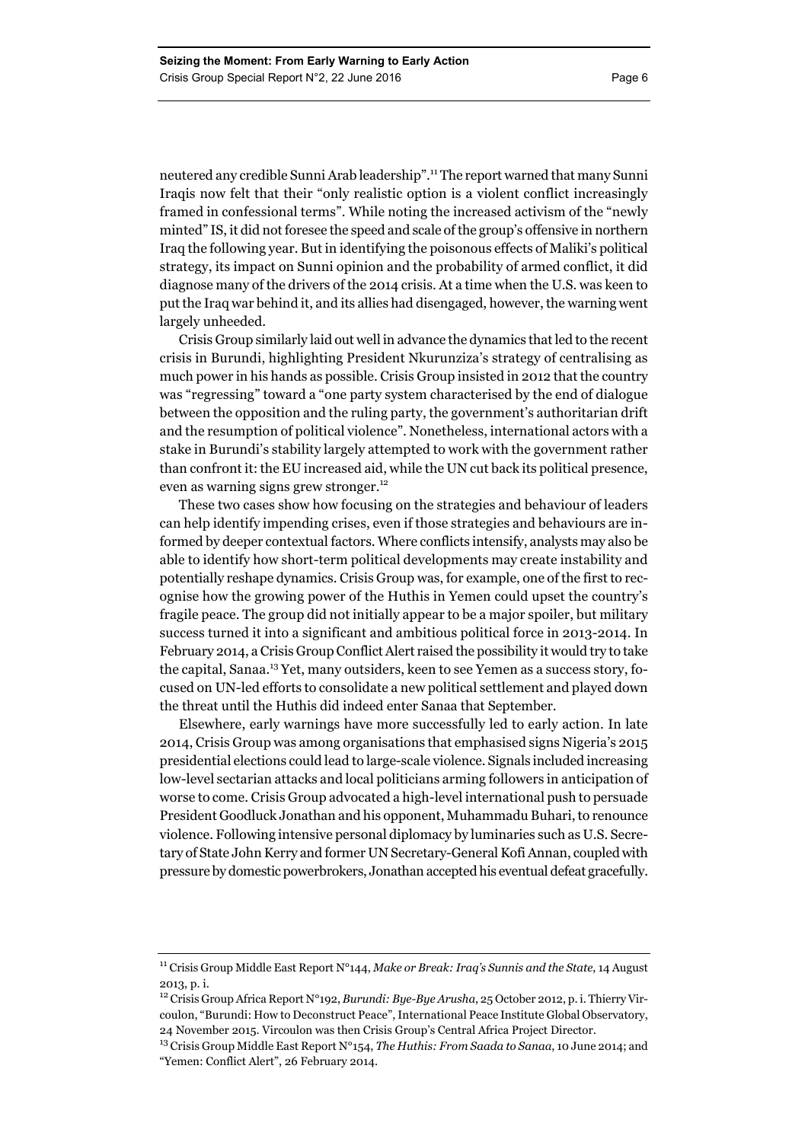neutered any credible Sunni Arab leadership".11 The report warned that many Sunni Iraqis now felt that their "only realistic option is a violent conflict increasingly framed in confessional terms". While noting the increased activism of the "newly minted" IS, it did not foresee the speed and scale of the group's offensive in northern Iraq the following year. But in identifying the poisonous effects of Maliki's political strategy, its impact on Sunni opinion and the probability of armed conflict, it did diagnose many of the drivers of the 2014 crisis. At a time when the U.S. was keen to put the Iraq war behind it, and its allies had disengaged, however, the warning went largely unheeded.

Crisis Group similarly laid out well in advance the dynamics that led to the recent crisis in Burundi, highlighting President Nkurunziza's strategy of centralising as much power in his hands as possible. Crisis Group insisted in 2012 that the country was "regressing" toward a "one party system characterised by the end of dialogue between the opposition and the ruling party, the government's authoritarian drift and the resumption of political violence". Nonetheless, international actors with a stake in Burundi's stability largely attempted to work with the government rather than confront it: the EU increased aid, while the UN cut back its political presence, even as warning signs grew stronger.<sup>12</sup>

These two cases show how focusing on the strategies and behaviour of leaders can help identify impending crises, even if those strategies and behaviours are informed by deeper contextual factors. Where conflicts intensify, analysts may also be able to identify how short-term political developments may create instability and potentially reshape dynamics. Crisis Group was, for example, one of the first to recognise how the growing power of the Huthis in Yemen could upset the country's fragile peace. The group did not initially appear to be a major spoiler, but military success turned it into a significant and ambitious political force in 2013-2014. In February 2014, a Crisis Group Conflict Alert raised the possibility it would try to take the capital, Sanaa.13 Yet, many outsiders, keen to see Yemen as a success story, focused on UN-led efforts to consolidate a new political settlement and played down the threat until the Huthis did indeed enter Sanaa that September.

Elsewhere, early warnings have more successfully led to early action. In late 2014, Crisis Group was among organisations that emphasised signs Nigeria's 2015 presidential elections could lead to large-scale violence. Signals included increasing low-level sectarian attacks and local politicians arming followers in anticipation of worse to come. Crisis Group advocated a high-level international push to persuade President Goodluck Jonathan and his opponent, Muhammadu Buhari, to renounce violence. Following intensive personal diplomacy by luminaries such as U.S. Secretary of State John Kerry and former UN Secretary-General Kofi Annan, coupled with pressure by domestic powerbrokers, Jonathan accepted his eventual defeat gracefully.

<sup>11</sup> Crisis Group Middle East Report N°144, *Make or Break: Iraq's Sunnis and the State*, 14 August 2013, p. i.

<sup>12</sup> Crisis Group Africa Report N°192, *Burundi: Bye-Bye Arusha*, 25 October 2012, p. i. Thierry Vircoulon, "Burundi: How to Deconstruct Peace", International Peace Institute Global Observatory, 24 November 2015. Vircoulon was then Crisis Group's Central Africa Project Director.

<sup>13</sup> Crisis Group Middle East Report N°154, *The Huthis: From Saada to Sanaa*, 10 June 2014; and "Yemen: Conflict Alert", 26 February 2014.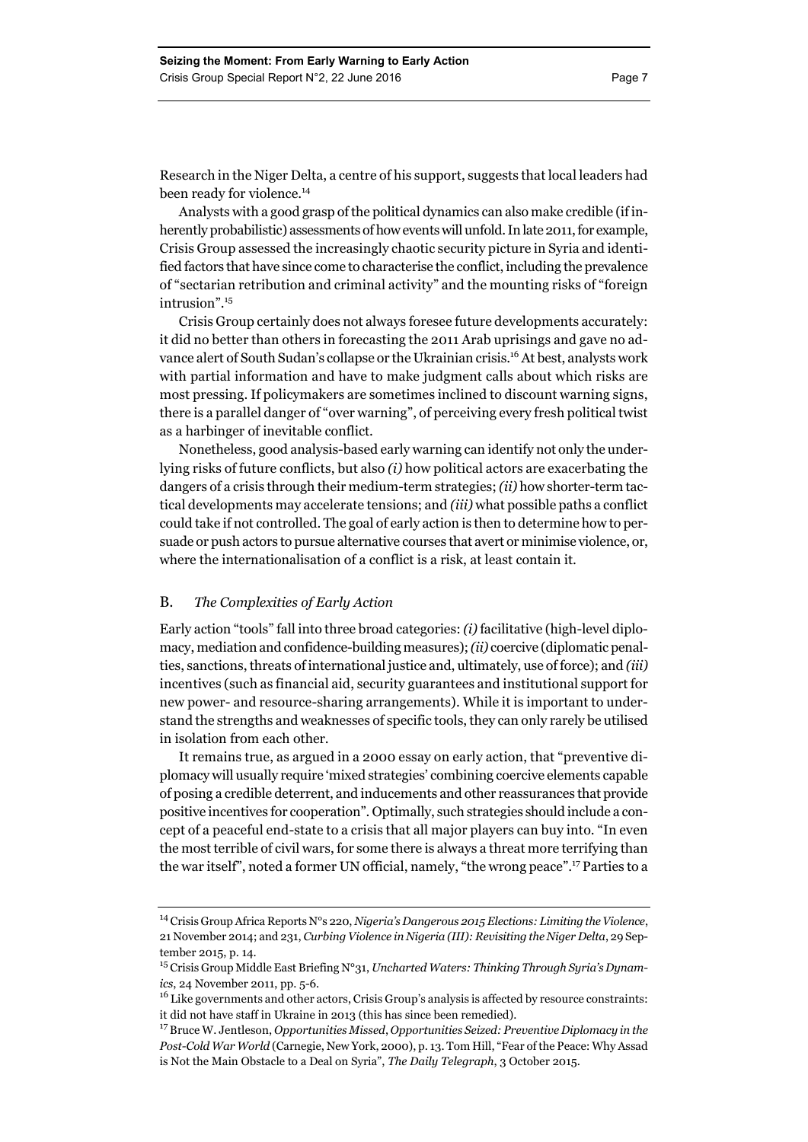Analysts with a good grasp of the political dynamics can also make credible (if inherently probabilistic) assessments of how events will unfold. In late 2011, for example, Crisis Group assessed the increasingly chaotic security picture in Syria and identified factors that have since come to characterise the conflict, including the prevalence of "sectarian retribution and criminal activity" and the mounting risks of "foreign intrusion".15

Crisis Group certainly does not always foresee future developments accurately: it did no better than others in forecasting the 2011 Arab uprisings and gave no advance alert of South Sudan's collapse or the Ukrainian crisis.<sup>16</sup> At best, analysts work with partial information and have to make judgment calls about which risks are most pressing. If policymakers are sometimes inclined to discount warning signs, there is a parallel danger of "over warning", of perceiving every fresh political twist as a harbinger of inevitable conflict.

Nonetheless, good analysis-based early warning can identify not only the underlying risks of future conflicts, but also *(i)* how political actors are exacerbating the dangers of a crisis through their medium-term strategies; *(ii)* how shorter-term tactical developments may accelerate tensions; and *(iii)* what possible paths a conflict could take if not controlled. The goal of early action is then to determine how to persuade or push actors to pursue alternative courses that avert or minimise violence, or, where the internationalisation of a conflict is a risk, at least contain it.

#### B. *The Complexities of Early Action*

Early action "tools" fall into three broad categories: *(i)* facilitative (high-level diplomacy, mediation and confidence-building measures); *(ii)* coercive (diplomatic penalties, sanctions, threats of international justice and, ultimately, use of force); and *(iii)* incentives (such as financial aid, security guarantees and institutional support for new power- and resource-sharing arrangements). While it is important to understand the strengths and weaknesses of specific tools, they can only rarely be utilised in isolation from each other.

It remains true, as argued in a 2000 essay on early action, that "preventive diplomacy will usually require 'mixed strategies' combining coercive elements capable of posing a credible deterrent, and inducements and other reassurances that provide positive incentives for cooperation". Optimally, such strategies should include a concept of a peaceful end-state to a crisis that all major players can buy into. "In even the most terrible of civil wars, for some there is always a threat more terrifying than the war itself", noted a former UN official, namely, "the wrong peace".17 Parties to a

<sup>14</sup> Crisis Group Africa Reports N°s 220, *Nigeria's Dangerous 2015 Elections: Limiting the Violence*, 21 November 2014; and 231, *Curbing Violence in Nigeria (III): Revisiting the Niger Delta*, 29 September 2015, p. 14.

<sup>15</sup> Crisis Group Middle East Briefing N°31, *Uncharted Waters: Thinking Through Syria's Dynamics*, 24 November 2011, pp. 5-6.

<sup>&</sup>lt;sup>16</sup> Like governments and other actors, Crisis Group's analysis is affected by resource constraints: it did not have staff in Ukraine in 2013 (this has since been remedied).

<sup>17</sup> Bruce W. Jentleson, *Opportunities Missed*, *Opportunities Seized: Preventive Diplomacy in the Post-Cold War World* (Carnegie, New York, 2000), p. 13. Tom Hill, "Fear of the Peace: Why Assad is Not the Main Obstacle to a Deal on Syria", *The Daily Telegraph*, 3 October 2015.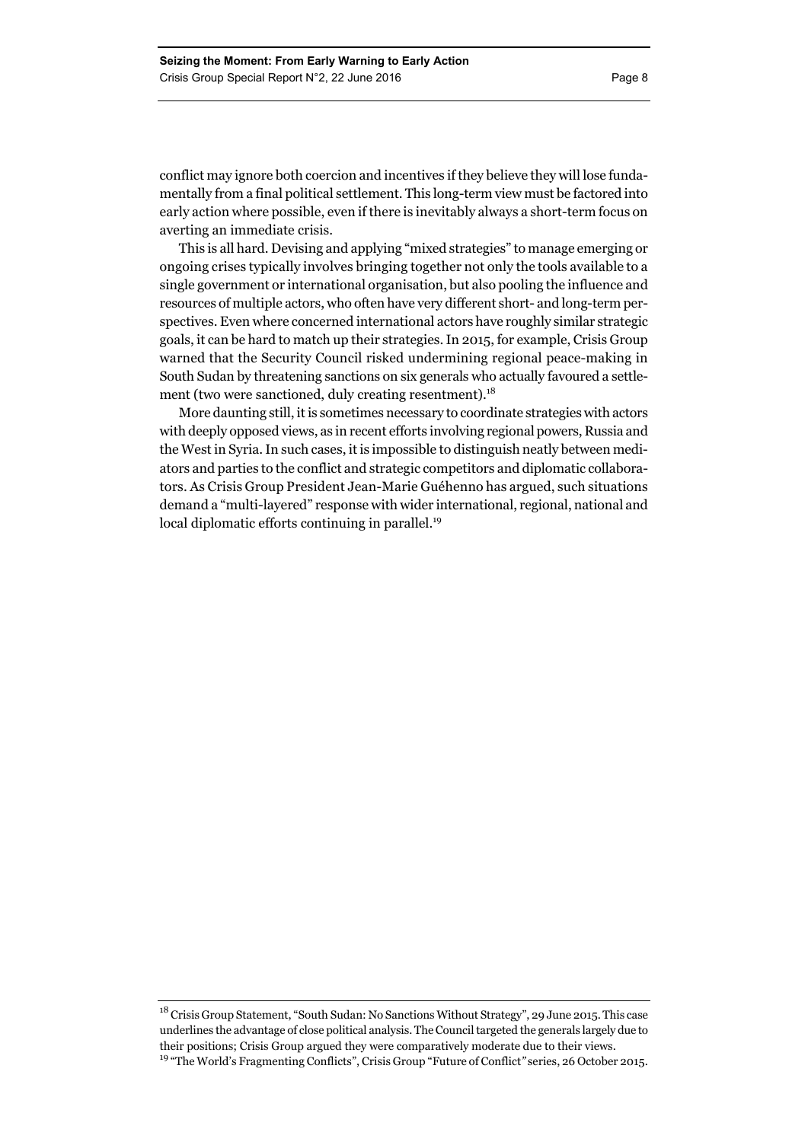conflict may ignore both coercion and incentives if they believe they will lose fundamentally from a final political settlement. This long-term view must be factored into early action where possible, even if there is inevitably always a short-term focus on averting an immediate crisis.

This is all hard. Devising and applying "mixed strategies" to manage emerging or ongoing crises typically involves bringing together not only the tools available to a single government or international organisation, but also pooling the influence and resources of multiple actors, who often have very different short- and long-term perspectives. Even where concerned international actors have roughly similar strategic goals, it can be hard to match up their strategies. In 2015, for example, Crisis Group warned that the Security Council risked undermining regional peace-making in South Sudan by threatening sanctions on six generals who actually favoured a settlement (two were sanctioned, duly creating resentment).<sup>18</sup>

More daunting still, it is sometimes necessary to coordinate strategies with actors with deeply opposed views, as in recent efforts involving regional powers, Russia and the West in Syria. In such cases, it is impossible to distinguish neatly between mediators and parties to the conflict and strategic competitors and diplomatic collaborators. As Crisis Group President Jean-Marie Guéhenno has argued, such situations demand a "multi-layered" response with wider international, regional, national and local diplomatic efforts continuing in parallel.<sup>19</sup>

<sup>18</sup> Crisis Group Statement, "South Sudan: No Sanctions Without Strategy", 29 June 2015. This case underlines the advantage of close political analysis. The Council targeted the generals largely due to their positions; Crisis Group argued they were comparatively moderate due to their views. 19 "The World's Fragmenting Conflicts", Crisis Group "Future of Conflict*"* series, 26 October 2015.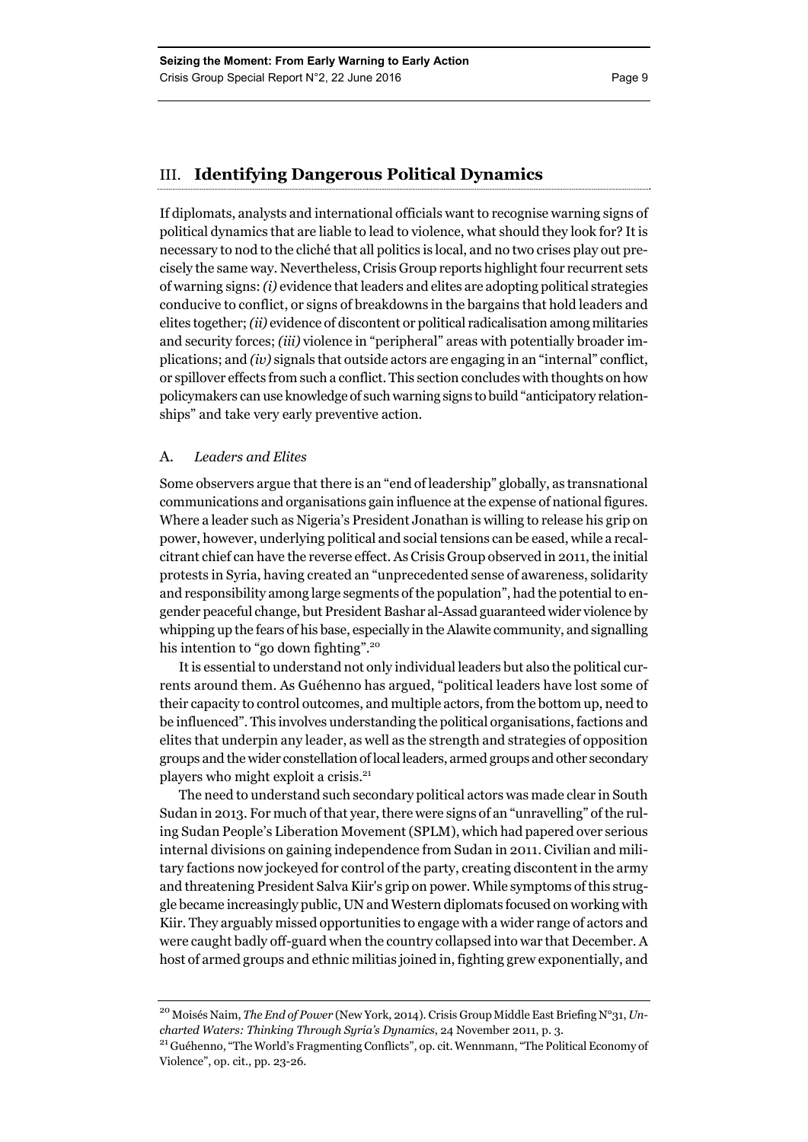#### III. **Identifying Dangerous Political Dynamics**

If diplomats, analysts and international officials want to recognise warning signs of political dynamics that are liable to lead to violence, what should they look for? It is necessary to nod to the cliché that all politics is local, and no two crises play out precisely the same way. Nevertheless, Crisis Group reports highlight four recurrent sets of warning signs: *(i)* evidence that leaders and elites are adopting political strategies conducive to conflict, or signs of breakdowns in the bargains that hold leaders and elites together; *(ii)* evidence of discontent or political radicalisation among militaries and security forces; *(iii)* violence in "peripheral" areas with potentially broader implications; and *(iv)* signals that outside actors are engaging in an "internal" conflict, or spillover effects from such a conflict. This section concludes with thoughts on how policymakers can use knowledge of such warning signs to build "anticipatory relationships" and take very early preventive action.

#### A. *Leaders and Elites*

Some observers argue that there is an "end of leadership" globally, as transnational communications and organisations gain influence at the expense of national figures. Where a leader such as Nigeria's President Jonathan is willing to release his grip on power, however, underlying political and social tensions can be eased, while a recalcitrant chief can have the reverse effect. As Crisis Group observed in 2011, the initial protests in Syria, having created an "unprecedented sense of awareness, solidarity and responsibility among large segments of the population", had the potential to engender peaceful change, but President Bashar al-Assad guaranteed wider violence by whipping up the fears of his base, especially in the Alawite community, and signalling his intention to "go down fighting".<sup>20</sup>

It is essential to understand not only individual leaders but also the political currents around them. As Guéhenno has argued, "political leaders have lost some of their capacity to control outcomes, and multiple actors, from the bottom up, need to be influenced". This involves understanding the political organisations, factions and elites that underpin any leader, as well as the strength and strategies of opposition groups and the wider constellation of local leaders, armed groups and other secondary players who might exploit a crisis.21

The need to understand such secondary political actors was made clear in South Sudan in 2013. For much of that year, there were signs of an "unravelling" of the ruling Sudan People's Liberation Movement (SPLM), which had papered over serious internal divisions on gaining independence from Sudan in 2011. Civilian and military factions now jockeyed for control of the party, creating discontent in the army and threatening President Salva Kiir's grip on power. While symptoms of this struggle became increasingly public, UN and Western diplomats focused on working with Kiir. They arguably missed opportunities to engage with a wider range of actors and were caught badly off-guard when the country collapsed into war that December. A host of armed groups and ethnic militias joined in, fighting grew exponentially, and

<sup>20</sup> Moisés Naim, *The End of Power* (New York, 2014). Crisis Group Middle East Briefing N°31, *Uncharted Waters: Thinking Through Syria's Dynamics*, 24 November 2011, p. 3. 21 Guéhenno, "The World's Fragmenting Conflicts", op. cit. Wennmann, "The Political Economy of

Violence", op. cit., pp. 23-26.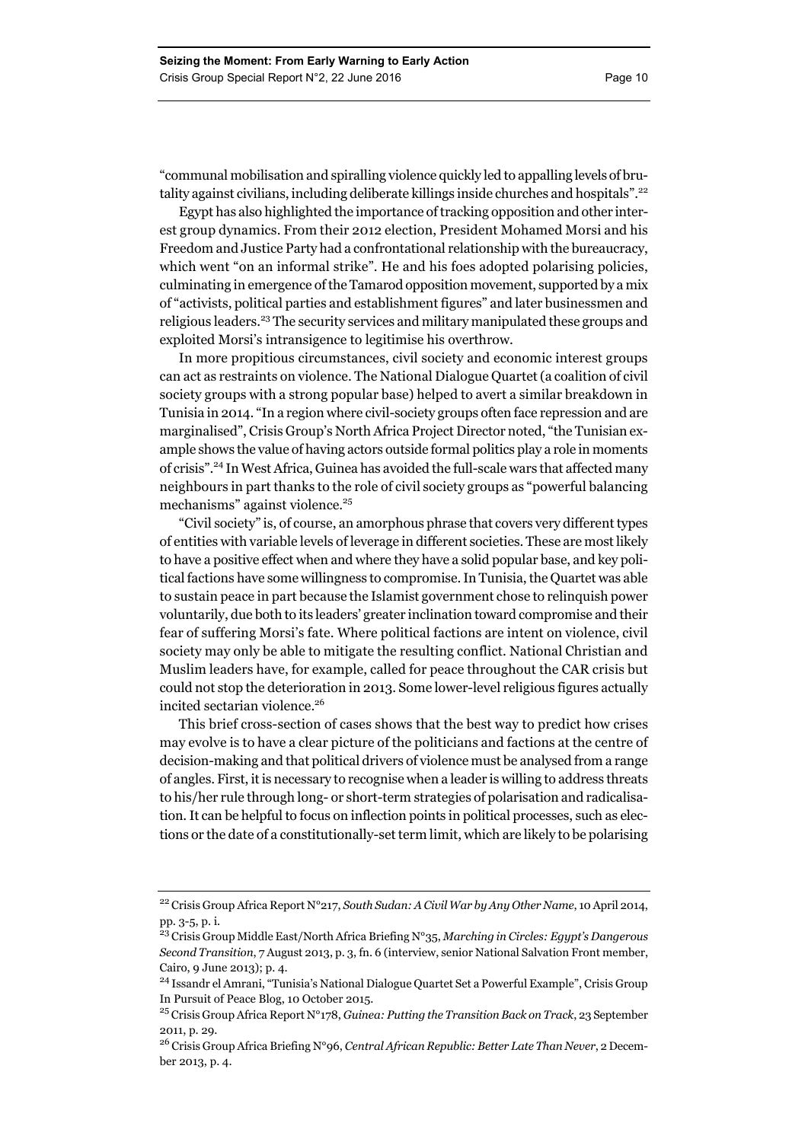"communal mobilisation and spiralling violence quickly led to appalling levels of brutality against civilians, including deliberate killings inside churches and hospitals".<sup>22</sup>

Egypt has also highlighted the importance of tracking opposition and other interest group dynamics. From their 2012 election, President Mohamed Morsi and his Freedom and Justice Party had a confrontational relationship with the bureaucracy, which went "on an informal strike". He and his foes adopted polarising policies, culminating in emergence of the Tamarod opposition movement, supported by a mix of "activists, political parties and establishment figures" and later businessmen and religious leaders.23 The security services and military manipulated these groups and exploited Morsi's intransigence to legitimise his overthrow.

In more propitious circumstances, civil society and economic interest groups can act as restraints on violence. The National Dialogue Quartet (a coalition of civil society groups with a strong popular base) helped to avert a similar breakdown in Tunisia in 2014. "In a region where civil-society groups often face repression and are marginalised", Crisis Group's North Africa Project Director noted, "the Tunisian example shows the value of having actors outside formal politics play a role in moments of crisis".24 In West Africa, Guinea has avoided the full-scale wars that affected many neighbours in part thanks to the role of civil society groups as "powerful balancing mechanisms" against violence.<sup>25</sup>

"Civil society" is, of course, an amorphous phrase that covers very different types of entities with variable levels of leverage in different societies. These are most likely to have a positive effect when and where they have a solid popular base, and key political factions have some willingness to compromise. In Tunisia, the Quartet was able to sustain peace in part because the Islamist government chose to relinquish power voluntarily, due both to its leaders' greater inclination toward compromise and their fear of suffering Morsi's fate. Where political factions are intent on violence, civil society may only be able to mitigate the resulting conflict. National Christian and Muslim leaders have, for example, called for peace throughout the CAR crisis but could not stop the deterioration in 2013. Some lower-level religious figures actually incited sectarian violence.<sup>26</sup>

This brief cross-section of cases shows that the best way to predict how crises may evolve is to have a clear picture of the politicians and factions at the centre of decision-making and that political drivers of violence must be analysed from a range of angles. First, it is necessary to recognise when a leader is willing to address threats to his/her rule through long- or short-term strategies of polarisation and radicalisation. It can be helpful to focus on inflection points in political processes, such as elections or the date of a constitutionally-set term limit, which are likely to be polarising

<sup>22</sup> Crisis Group Africa Report N°217, *South Sudan: A Civil War by Any Other Name*, 10 April 2014, pp. 3-5, p. i.

<sup>23</sup> Crisis Group Middle East/North Africa Briefing N°35, *Marching in Circles: Egypt's Dangerous Second Transition*, 7 August 2013, p. 3, fn. 6 (interview, senior National Salvation Front member, Cairo, 9 June 2013); p. 4.

<sup>24</sup> Issandr el Amrani, "Tunisia's National Dialogue Quartet Set a Powerful Example", Crisis Group In Pursuit of Peace Blog, 10 October 2015.

<sup>25</sup> Crisis Group Africa Report N°178, *Guinea: Putting the Transition Back on Track*, 23 September 2011, p. 29.

<sup>26</sup> Crisis Group Africa Briefing N°96, *Central African Republic: Better Late Than Never*, 2 December 2013, p. 4.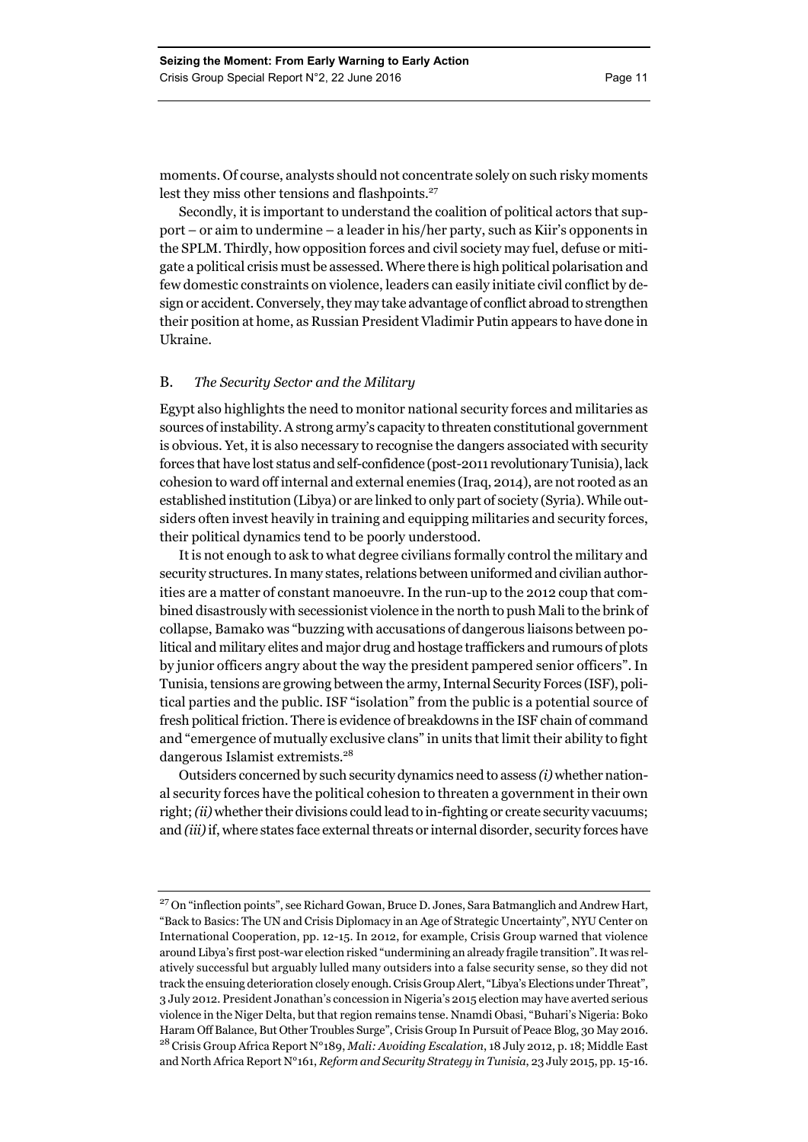moments. Of course, analysts should not concentrate solely on such risky moments lest they miss other tensions and flashpoints.<sup>27</sup>

Secondly, it is important to understand the coalition of political actors that support – or aim to undermine – a leader in his/her party, such as Kiir's opponents in the SPLM. Thirdly, how opposition forces and civil society may fuel, defuse or mitigate a political crisis must be assessed. Where there is high political polarisation and few domestic constraints on violence, leaders can easily initiate civil conflict by design or accident. Conversely, they may take advantage of conflict abroad to strengthen their position at home, as Russian President Vladimir Putin appears to have done in Ukraine.

#### B. *The Security Sector and the Military*

Egypt also highlights the need to monitor national security forces and militaries as sources of instability. A strong army's capacity to threaten constitutional government is obvious. Yet, it is also necessary to recognise the dangers associated with security forces that have lost status and self-confidence (post-2011 revolutionary Tunisia), lack cohesion to ward off internal and external enemies (Iraq, 2014), are not rooted as an established institution (Libya) or are linked to only part of society (Syria). While outsiders often invest heavily in training and equipping militaries and security forces, their political dynamics tend to be poorly understood.

It is not enough to ask to what degree civilians formally control the military and security structures. In many states, relations between uniformed and civilian authorities are a matter of constant manoeuvre. In the run-up to the 2012 coup that combined disastrously with secessionist violence in the north to push Mali to the brink of collapse, Bamako was "buzzing with accusations of dangerous liaisons between political and military elites and major drug and hostage traffickers and rumours of plots by junior officers angry about the way the president pampered senior officers". In Tunisia, tensions are growing between the army, Internal Security Forces (ISF), political parties and the public. ISF "isolation" from the public is a potential source of fresh political friction. There is evidence of breakdowns in the ISF chain of command and "emergence of mutually exclusive clans" in units that limit their ability to fight dangerous Islamist extremists.28

Outsiders concerned by such security dynamics need to assess *(i)* whether national security forces have the political cohesion to threaten a government in their own right; *(ii)* whether their divisions could lead to in-fighting or create security vacuums; and *(iii)* if, where states face external threats or internal disorder, security forces have

<sup>&</sup>lt;sup>27</sup> On "inflection points", see Richard Gowan, Bruce D. Jones, Sara Batmanglich and Andrew Hart, "Back to Basics: The UN and Crisis Diplomacy in an Age of Strategic Uncertainty", NYU Center on International Cooperation, pp. 12-15. In 2012, for example, Crisis Group warned that violence around Libya's first post-war election risked "undermining an already fragile transition". It was relatively successful but arguably lulled many outsiders into a false security sense, so they did not track the ensuing deterioration closely enough. Crisis Group Alert, "Libya's Elections under Threat", 3 July 2012. President Jonathan's concession in Nigeria's 2015 election may have averted serious violence in the Niger Delta, but that region remains tense. Nnamdi Obasi, "Buhari's Nigeria: Boko Haram Off Balance, But Other Troubles Surge", Crisis Group In Pursuit of Peace Blog, 30 May 2016. 28 Crisis Group Africa Report N°189, *Mali: Avoiding Escalation*, 18 July 2012, p. 18; Middle East and North Africa Report N°161, *Reform and Security Strategy in Tunisia*, 23 July 2015, pp. 15-16.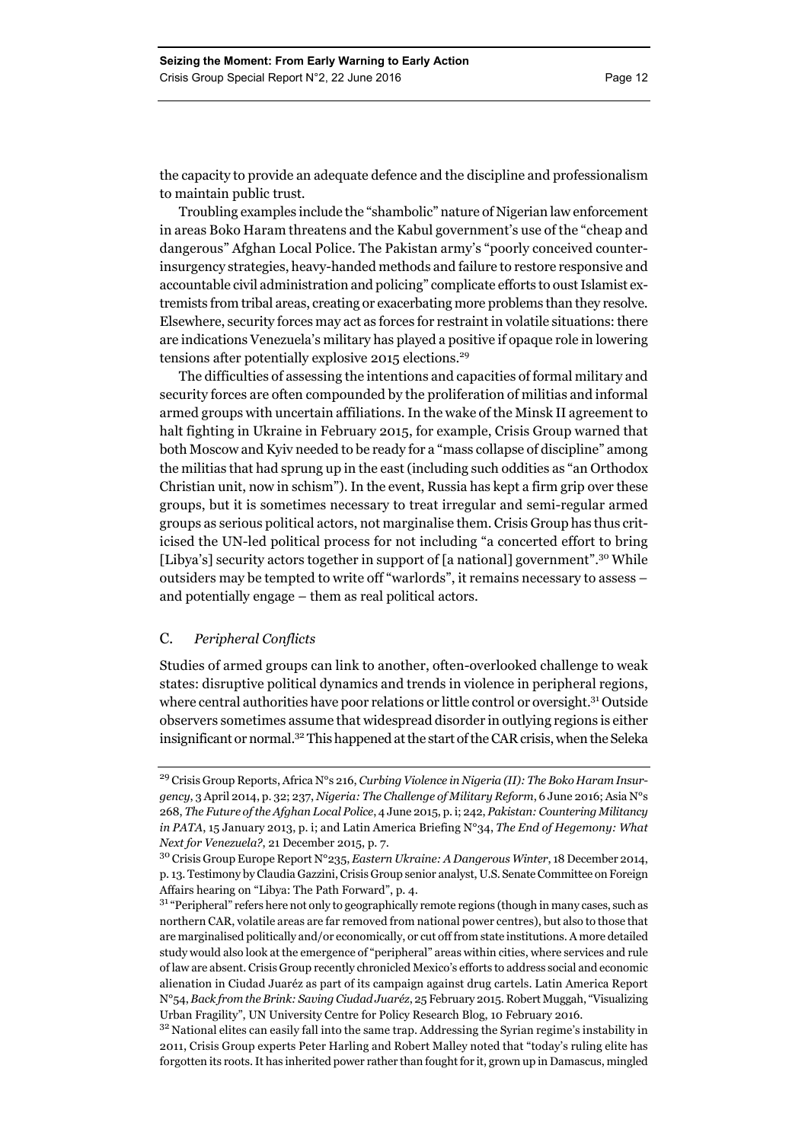the capacity to provide an adequate defence and the discipline and professionalism to maintain public trust.

Troubling examples include the "shambolic" nature of Nigerian law enforcement in areas Boko Haram threatens and the Kabul government's use of the "cheap and dangerous" Afghan Local Police. The Pakistan army's "poorly conceived counterinsurgency strategies, heavy-handed methods and failure to restore responsive and accountable civil administration and policing" complicate efforts to oust Islamist extremists from tribal areas, creating or exacerbating more problems than they resolve. Elsewhere, security forces may act as forces for restraint in volatile situations: there are indications Venezuela's military has played a positive if opaque role in lowering tensions after potentially explosive 2015 elections.<sup>29</sup>

The difficulties of assessing the intentions and capacities of formal military and security forces are often compounded by the proliferation of militias and informal armed groups with uncertain affiliations. In the wake of the Minsk II agreement to halt fighting in Ukraine in February 2015, for example, Crisis Group warned that both Moscow and Kyiv needed to be ready for a "mass collapse of discipline" among the militias that had sprung up in the east (including such oddities as "an Orthodox Christian unit, now in schism"). In the event, Russia has kept a firm grip over these groups, but it is sometimes necessary to treat irregular and semi-regular armed groups as serious political actors, not marginalise them. Crisis Group has thus criticised the UN-led political process for not including "a concerted effort to bring [Libya's] security actors together in support of [a national] government".<sup>30</sup> While outsiders may be tempted to write off "warlords", it remains necessary to assess – and potentially engage – them as real political actors.

#### C. *Peripheral Conflicts*

Studies of armed groups can link to another, often-overlooked challenge to weak states: disruptive political dynamics and trends in violence in peripheral regions, where central authorities have poor relations or little control or oversight.<sup>31</sup> Outside observers sometimes assume that widespread disorder in outlying regions is either insignificant or normal.32 This happened at the start of the CAR crisis, when the Seleka

<sup>29</sup> Crisis Group Reports, Africa N°s 216, *Curbing Violence in Nigeria (II): The Boko Haram Insurgency*, 3 April 2014, p. 32; 237, *Nigeria: The Challenge of Military Reform*, 6 June 2016; Asia N°s 268, *The Future of the Afghan Local Police*, 4 June 2015, p. i; 242, *Pakistan: Countering Militancy in PATA*, 15 January 2013, p. i; and Latin America Briefing N°34, *The End of Hegemony: What Next for Venezuela?*, 21 December 2015, p. 7.

<sup>30</sup> Crisis Group Europe Report N°235, *Eastern Ukraine: A Dangerous Winter*, 18 December 2014, p. 13. Testimony by Claudia Gazzini, Crisis Group senior analyst, U.S. Senate Committee on Foreign Affairs hearing on "Libya: The Path Forward", p. 4.

<sup>&</sup>lt;sup>31</sup> "Peripheral" refers here not only to geographically remote regions (though in many cases, such as northern CAR, volatile areas are far removed from national power centres), but also to those that are marginalised politically and/or economically, or cut off from state institutions. A more detailed study would also look at the emergence of "peripheral" areas within cities, where services and rule of law are absent. Crisis Group recently chronicled Mexico's efforts to address social and economic alienation in Ciudad Juaréz as part of its campaign against drug cartels. Latin America Report N°54, *Back from the Brink: Saving Ciudad Juaréz*, 25 February 2015. Robert Muggah, "Visualizing Urban Fragility", UN University Centre for Policy Research Blog, 10 February 2016.

<sup>&</sup>lt;sup>32</sup> National elites can easily fall into the same trap. Addressing the Syrian regime's instability in 2011, Crisis Group experts Peter Harling and Robert Malley noted that "today's ruling elite has forgotten its roots. It has inherited power rather than fought for it, grown up in Damascus, mingled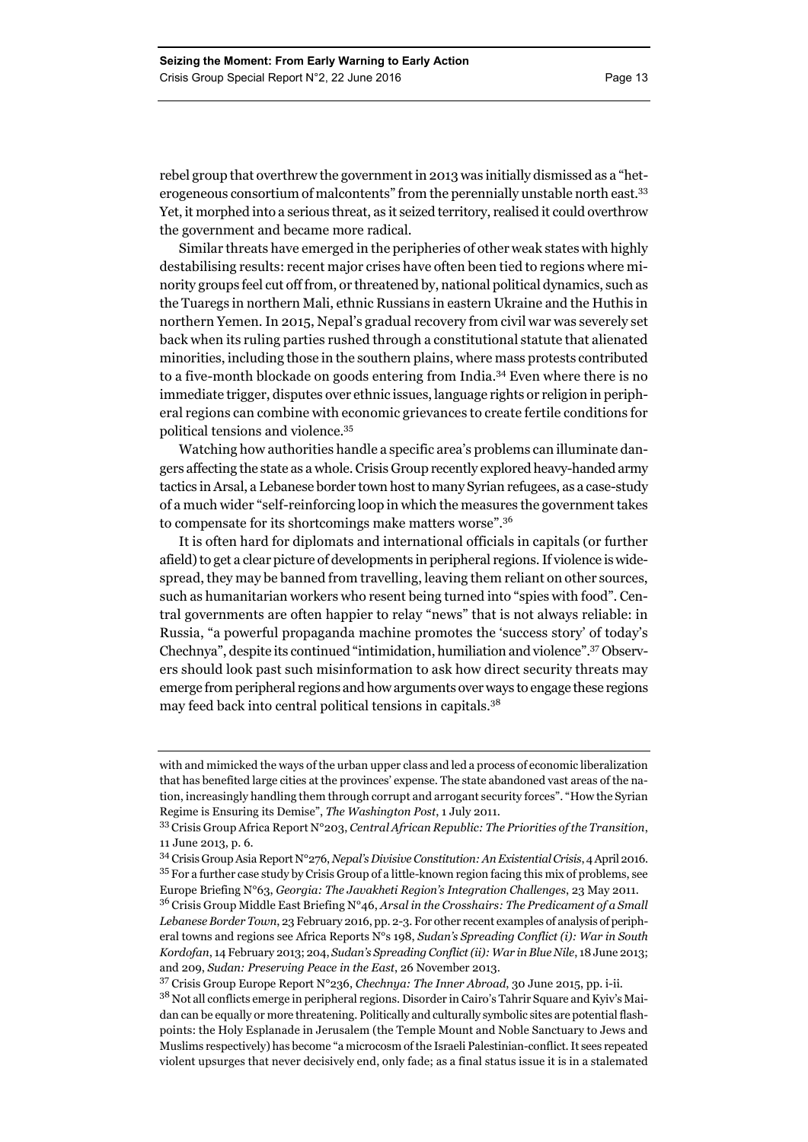rebel group that overthrew the government in 2013 was initially dismissed as a "heterogeneous consortium of malcontents" from the perennially unstable north east.33 Yet, it morphed into a serious threat, as it seized territory, realised it could overthrow the government and became more radical.

Similar threats have emerged in the peripheries of other weak states with highly destabilising results: recent major crises have often been tied to regions where minority groups feel cut off from, or threatened by, national political dynamics, such as the Tuaregs in northern Mali, ethnic Russians in eastern Ukraine and the Huthis in northern Yemen. In 2015, Nepal's gradual recovery from civil war was severely set back when its ruling parties rushed through a constitutional statute that alienated minorities, including those in the southern plains, where mass protests contributed to a five-month blockade on goods entering from India.34 Even where there is no immediate trigger, disputes over ethnic issues, language rights or religion in peripheral regions can combine with economic grievances to create fertile conditions for political tensions and violence.35

Watching how authorities handle a specific area's problems can illuminate dangers affecting the state as a whole. Crisis Group recently explored heavy-handed army tactics in Arsal, a Lebanese border town host to many Syrian refugees, as a case-study of a much wider "self-reinforcing loop in which the measures the government takes to compensate for its shortcomings make matters worse".36

It is often hard for diplomats and international officials in capitals (or further afield) to get a clear picture of developments in peripheral regions. If violence is widespread, they may be banned from travelling, leaving them reliant on other sources, such as humanitarian workers who resent being turned into "spies with food". Central governments are often happier to relay "news" that is not always reliable: in Russia, "a powerful propaganda machine promotes the 'success story' of today's Chechnya", despite its continued "intimidation, humiliation and violence".37 Observers should look past such misinformation to ask how direct security threats may emerge from peripheral regions and how arguments over ways to engage these regions may feed back into central political tensions in capitals.<sup>38</sup>

with and mimicked the ways of the urban upper class and led a process of economic liberalization that has benefited large cities at the provinces' expense. The state abandoned vast areas of the nation, increasingly handling them through corrupt and arrogant security forces". "How the Syrian Regime is Ensuring its Demise", *The Washington Post*, 1 July 2011.

<sup>33</sup> Crisis Group Africa Report N°203, *Central African Republic: The Priorities of the Transition*, 11 June 2013, p. 6.

<sup>34</sup> Crisis Group Asia Report N°276, *Nepal's Divisive Constitution: An Existential Crisis*, 4 April 2016. <sup>35</sup> For a further case study by Crisis Group of a little-known region facing this mix of problems, see Europe Briefing N°63, *Georgia: The Javakheti Region's Integration Challenges*, 23 May 2011.

<sup>36</sup> Crisis Group Middle East Briefing N°46, *Arsal in the Crosshairs: The Predicament of a Small Lebanese Border Town*, 23 February 2016, pp. 2-3. For other recent examples of analysis of peripheral towns and regions see Africa Reports N°s 198, *Sudan's Spreading Conflict (i): War in South Kordofan*, 14 February 2013; 204, *Sudan's Spreading Conflict (ii): War in Blue Nile*, 18 June 2013; and 209, *Sudan: Preserving Peace in the East*, 26 November 2013.

<sup>37</sup> Crisis Group Europe Report N°236, *Chechnya: The Inner Abroad*, 30 June 2015, pp. i-ii.

<sup>38</sup> Not all conflicts emerge in peripheral regions. Disorder in Cairo's Tahrir Square and Kyiv's Maidan can be equally or more threatening. Politically and culturally symbolic sites are potential flashpoints: the Holy Esplanade in Jerusalem (the Temple Mount and Noble Sanctuary to Jews and Muslims respectively) has become "a microcosm of the Israeli Palestinian-conflict. It sees repeated violent upsurges that never decisively end, only fade; as a final status issue it is in a stalemated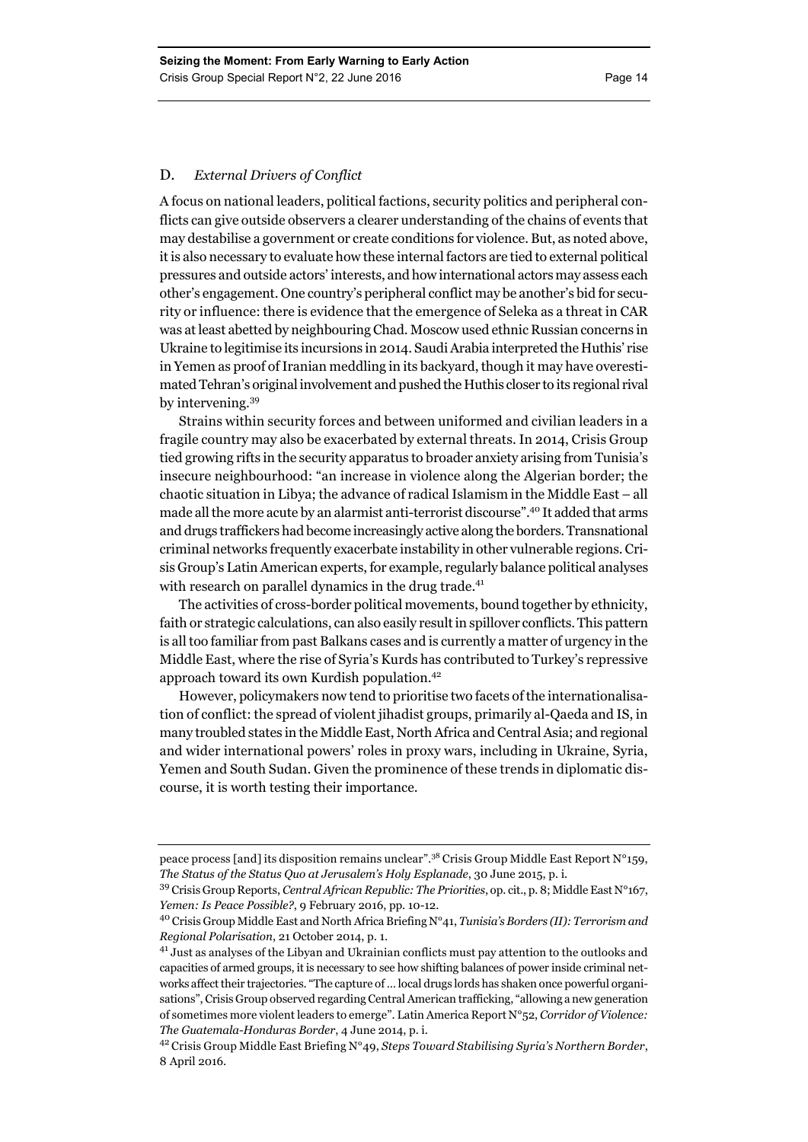#### D. *External Drivers of Conflict*

A focus on national leaders, political factions, security politics and peripheral conflicts can give outside observers a clearer understanding of the chains of events that may destabilise a government or create conditions for violence. But, as noted above, it is also necessary to evaluate how these internal factors are tied to external political pressures and outside actors' interests, and how international actors may assess each other's engagement. One country's peripheral conflict may be another's bid for security or influence: there is evidence that the emergence of Seleka as a threat in CAR was at least abetted by neighbouring Chad. Moscow used ethnic Russian concerns in Ukraine to legitimise its incursions in 2014. Saudi Arabia interpreted the Huthis' rise in Yemen as proof of Iranian meddling in its backyard, though it may have overestimated Tehran's original involvement and pushed the Huthis closer to its regional rival by intervening.39

Strains within security forces and between uniformed and civilian leaders in a fragile country may also be exacerbated by external threats. In 2014, Crisis Group tied growing rifts in the security apparatus to broader anxiety arising from Tunisia's insecure neighbourhood: "an increase in violence along the Algerian border; the chaotic situation in Libya; the advance of radical Islamism in the Middle East – all made all the more acute by an alarmist anti-terrorist discourse".40 It added that arms and drugs traffickers had become increasingly active along the borders. Transnational criminal networks frequently exacerbate instability in other vulnerable regions. Crisis Group's Latin American experts, for example, regularly balance political analyses with research on parallel dynamics in the drug trade.<sup>41</sup>

The activities of cross-border political movements, bound together by ethnicity, faith or strategic calculations, can also easily result in spillover conflicts. This pattern is all too familiar from past Balkans cases and is currently a matter of urgency in the Middle East, where the rise of Syria's Kurds has contributed to Turkey's repressive approach toward its own Kurdish population.42

However, policymakers now tend to prioritise two facets of the internationalisation of conflict: the spread of violent jihadist groups, primarily al-Qaeda and IS, in many troubled states in the Middle East, North Africa and Central Asia; and regional and wider international powers' roles in proxy wars, including in Ukraine, Syria, Yemen and South Sudan. Given the prominence of these trends in diplomatic discourse, it is worth testing their importance.

peace process [and] its disposition remains unclear".38 Crisis Group Middle East Report N°159, *The Status of the Status Quo at Jerusalem's Holy Esplanade*, 30 June 2015, p. i.

<sup>39</sup> Crisis Group Reports, *Central African Republic: The Priorities*, op. cit., p. 8; Middle East N°167, *Yemen: Is Peace Possible?*, 9 February 2016, pp. 10-12.

<sup>40</sup> Crisis Group Middle East and North Africa Briefing N°41, *Tunisia's Borders (II): Terrorism and Regional Polarisation*, 21 October 2014, p. 1.

<sup>&</sup>lt;sup>41</sup> Just as analyses of the Libyan and Ukrainian conflicts must pay attention to the outlooks and capacities of armed groups, it is necessary to see how shifting balances of power inside criminal networks affect their trajectories. "The capture of … local drugs lords has shaken once powerful organisations", Crisis Group observed regarding Central American trafficking, "allowing a new generation of sometimes more violent leaders to emerge". Latin America Report N°52, *Corridor of Violence: The Guatemala-Honduras Border*, 4 June 2014, p. i.

<sup>42</sup> Crisis Group Middle East Briefing N°49, *Steps Toward Stabilising Syria's Northern Border*, 8 April 2016.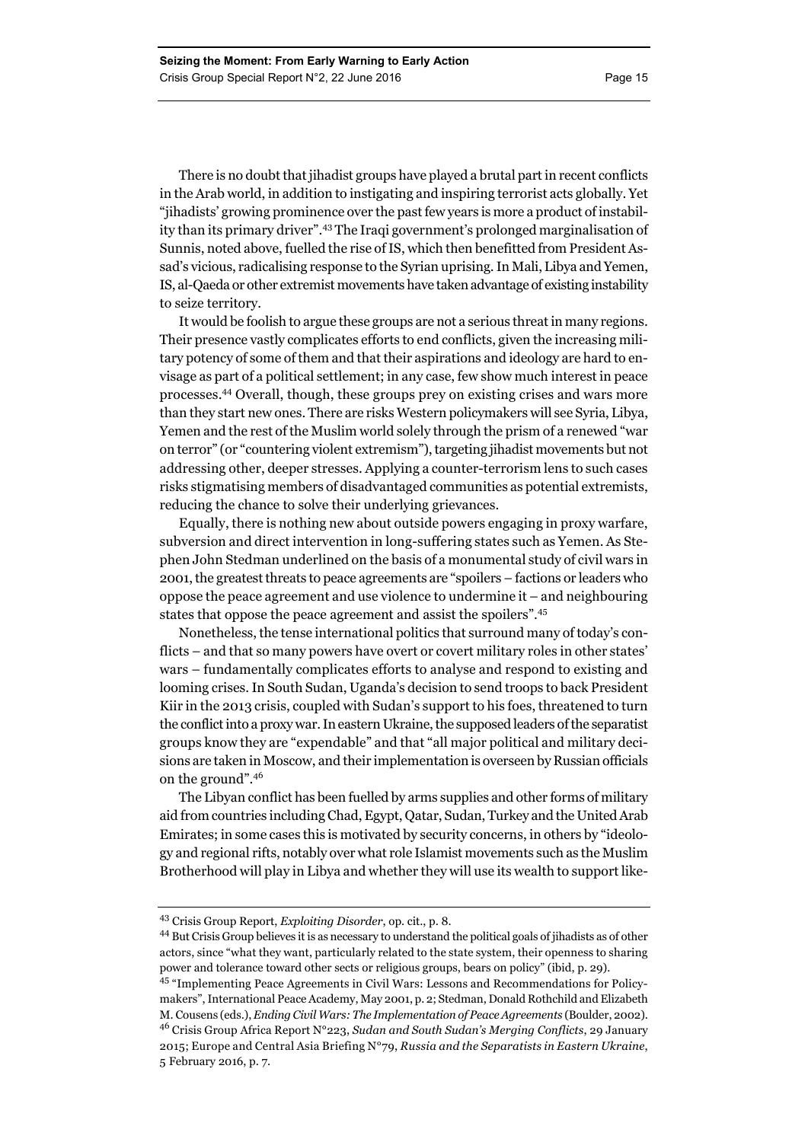There is no doubt that jihadist groups have played a brutal part in recent conflicts in the Arab world, in addition to instigating and inspiring terrorist acts globally. Yet "jihadists' growing prominence over the past few years is more a product of instability than its primary driver".43 The Iraqi government's prolonged marginalisation of Sunnis, noted above, fuelled the rise of IS, which then benefitted from President Assad's vicious, radicalising response to the Syrian uprising. In Mali, Libya and Yemen, IS, al-Qaeda or other extremist movements have taken advantage of existing instability to seize territory.

It would be foolish to argue these groups are not a serious threat in many regions. Their presence vastly complicates efforts to end conflicts, given the increasing military potency of some of them and that their aspirations and ideology are hard to envisage as part of a political settlement; in any case, few show much interest in peace processes.44 Overall, though, these groups prey on existing crises and wars more than they start new ones. There are risks Western policymakers will see Syria, Libya, Yemen and the rest of the Muslim world solely through the prism of a renewed "war on terror" (or "countering violent extremism"), targeting jihadist movements but not addressing other, deeper stresses. Applying a counter-terrorism lens to such cases risks stigmatising members of disadvantaged communities as potential extremists, reducing the chance to solve their underlying grievances.

Equally, there is nothing new about outside powers engaging in proxy warfare, subversion and direct intervention in long-suffering states such as Yemen. As Stephen John Stedman underlined on the basis of a monumental study of civil wars in 2001, the greatest threats to peace agreements are "spoilers – factions or leaders who oppose the peace agreement and use violence to undermine it – and neighbouring states that oppose the peace agreement and assist the spoilers".45

Nonetheless, the tense international politics that surround many of today's conflicts – and that so many powers have overt or covert military roles in other states' wars – fundamentally complicates efforts to analyse and respond to existing and looming crises. In South Sudan, Uganda's decision to send troops to back President Kiir in the 2013 crisis, coupled with Sudan's support to his foes, threatened to turn the conflict into a proxy war. In eastern Ukraine, the supposed leaders of the separatist groups know they are "expendable" and that "all major political and military decisions are taken in Moscow, and their implementation is overseen by Russian officials on the ground".<sup>46</sup>

The Libyan conflict has been fuelled by arms supplies and other forms of military aid from countries including Chad, Egypt, Qatar, Sudan, Turkey and the United Arab Emirates; in some cases this is motivated by security concerns, in others by "ideology and regional rifts, notably over what role Islamist movements such as the Muslim Brotherhood will play in Libya and whether they will use its wealth to support like-

<sup>43</sup> Crisis Group Report, *Exploiting Disorder*, op. cit., p. 8.

<sup>44</sup> But Crisis Group believes it is as necessary to understand the political goals of jihadists as of other actors, since "what they want, particularly related to the state system, their openness to sharing power and tolerance toward other sects or religious groups, bears on policy" (ibid, p. 29).

<sup>45 &</sup>quot;Implementing Peace Agreements in Civil Wars: Lessons and Recommendations for Policymakers", International Peace Academy, May 2001, p. 2; Stedman, Donald Rothchild and Elizabeth M. Cousens (eds.), *Ending Civil Wars: The Implementation of Peace Agreements* (Boulder, 2002). 46 Crisis Group Africa Report N°223, *Sudan and South Sudan's Merging Conflicts*, 29 January 2015; Europe and Central Asia Briefing N°79, *Russia and the Separatists in Eastern Ukraine*, 5 February 2016, p. 7.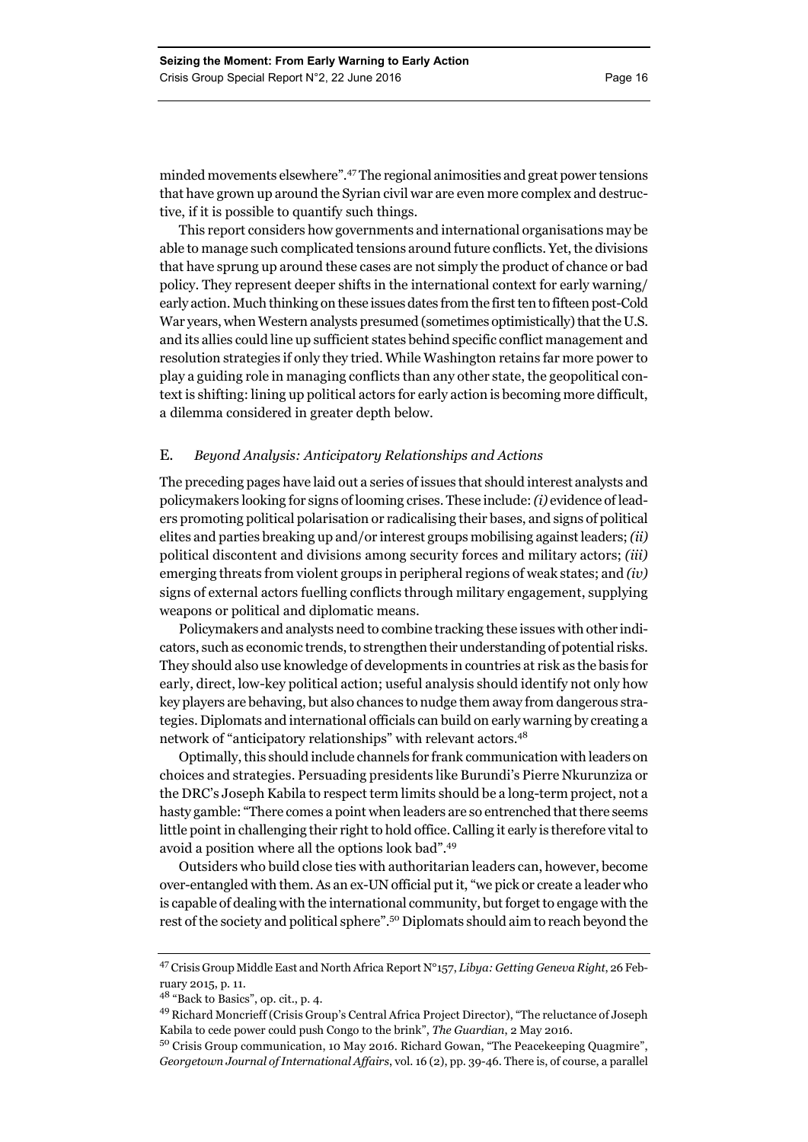minded movements elsewhere".47 The regional animosities and great power tensions that have grown up around the Syrian civil war are even more complex and destructive, if it is possible to quantify such things.

This report considers how governments and international organisations may be able to manage such complicated tensions around future conflicts. Yet, the divisions that have sprung up around these cases are not simply the product of chance or bad policy. They represent deeper shifts in the international context for early warning/ early action. Much thinking on these issues dates from the first ten to fifteen post-Cold War years, when Western analysts presumed (sometimes optimistically) that the U.S. and its allies could line up sufficient states behind specific conflict management and resolution strategies if only they tried. While Washington retains far more power to play a guiding role in managing conflicts than any other state, the geopolitical context is shifting: lining up political actors for early action is becoming more difficult, a dilemma considered in greater depth below.

#### E. *Beyond Analysis: Anticipatory Relationships and Actions*

The preceding pages have laid out a series of issues that should interest analysts and policymakers looking for signs of looming crises. These include: *(i)* evidence of leaders promoting political polarisation or radicalising their bases, and signs of political elites and parties breaking up and/or interest groups mobilising against leaders; *(ii)* political discontent and divisions among security forces and military actors; *(iii)* emerging threats from violent groups in peripheral regions of weak states; and *(iv)* signs of external actors fuelling conflicts through military engagement, supplying weapons or political and diplomatic means.

Policymakers and analysts need to combine tracking these issues with other indicators, such as economic trends, to strengthen their understanding of potential risks. They should also use knowledge of developments in countries at risk as the basis for early, direct, low-key political action; useful analysis should identify not only how key players are behaving, but also chances to nudge them away from dangerous strategies. Diplomats and international officials can build on early warning by creating a network of "anticipatory relationships" with relevant actors.<sup>48</sup>

Optimally, this should include channels for frank communication with leaders on choices and strategies. Persuading presidents like Burundi's Pierre Nkurunziza or the DRC's Joseph Kabila to respect term limits should be a long-term project, not a hasty gamble: "There comes a point when leaders are so entrenched that there seems little point in challenging their right to hold office. Calling it early is therefore vital to avoid a position where all the options look bad".49

Outsiders who build close ties with authoritarian leaders can, however, become over-entangled with them. As an ex-UN official put it, "we pick or create a leader who is capable of dealing with the international community, but forget to engage with the rest of the society and political sphere".50 Diplomats should aim to reach beyond the

<sup>47</sup> Crisis Group Middle East and North Africa Report N°157, *Libya: Getting Geneva Right*, 26 February 2015, p. 11.

<sup>48 &</sup>quot;Back to Basics", op. cit., p. 4.

<sup>49</sup> Richard Moncrieff (Crisis Group's Central Africa Project Director), "The reluctance of Joseph Kabila to cede power could push Congo to the brink", *The Guardian*, 2 May 2016.

<sup>50</sup> Crisis Group communication, 10 May 2016. Richard Gowan, "The Peacekeeping Quagmire", *Georgetown Journal of International Affairs*, vol. 16 (2), pp. 39-46. There is, of course, a parallel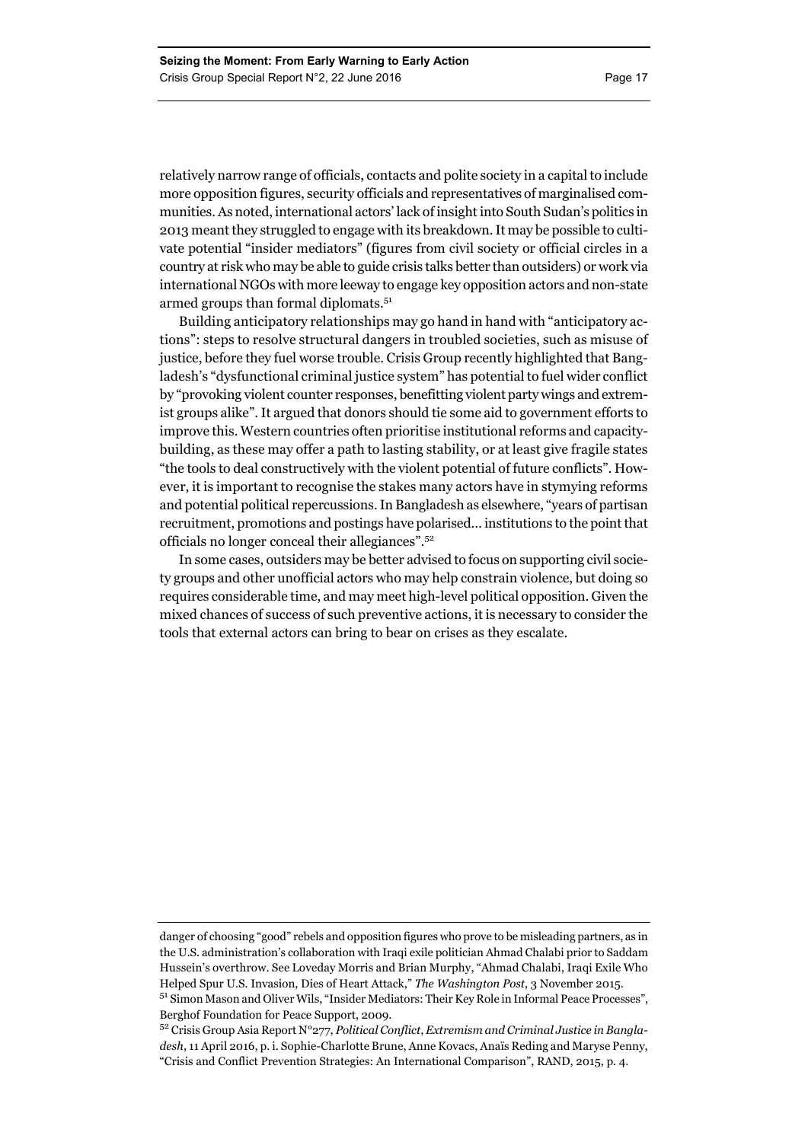relatively narrow range of officials, contacts and polite society in a capital to include more opposition figures, security officials and representatives of marginalised communities. As noted, international actors' lack of insight into South Sudan's politics in 2013 meant they struggled to engage with its breakdown. It may be possible to cultivate potential "insider mediators" (figures from civil society or official circles in a country at risk who may be able to guide crisis talks better than outsiders) or work via international NGOs with more leeway to engage key opposition actors and non-state armed groups than formal diplomats.<sup>51</sup>

Building anticipatory relationships may go hand in hand with "anticipatory actions": steps to resolve structural dangers in troubled societies, such as misuse of justice, before they fuel worse trouble. Crisis Group recently highlighted that Bangladesh's "dysfunctional criminal justice system" has potential to fuel wider conflict by "provoking violent counter responses, benefitting violent party wings and extremist groups alike". It argued that donors should tie some aid to government efforts to improve this. Western countries often prioritise institutional reforms and capacitybuilding, as these may offer a path to lasting stability, or at least give fragile states "the tools to deal constructively with the violent potential of future conflicts". However, it is important to recognise the stakes many actors have in stymying reforms and potential political repercussions. In Bangladesh as elsewhere, "years of partisan recruitment, promotions and postings have polarised… institutions to the point that officials no longer conceal their allegiances".52

In some cases, outsiders may be better advised to focus on supporting civil society groups and other unofficial actors who may help constrain violence, but doing so requires considerable time, and may meet high-level political opposition. Given the mixed chances of success of such preventive actions, it is necessary to consider the tools that external actors can bring to bear on crises as they escalate.

danger of choosing "good" rebels and opposition figures who prove to be misleading partners, as in the U.S. administration's collaboration with Iraqi exile politician Ahmad Chalabi prior to Saddam Hussein's overthrow. See Loveday Morris and Brian Murphy, "Ahmad Chalabi, Iraqi Exile Who Helped Spur U.S. Invasion, Dies of Heart Attack," *The Washington Post*, 3 November 2015.

<sup>51</sup> Simon Mason and Oliver Wils, "Insider Mediators: Their Key Role in Informal Peace Processes", Berghof Foundation for Peace Support, 2009.

<sup>52</sup> Crisis Group Asia Report N°277, *Political Conflict*, *Extremism and Criminal Justice in Bangladesh*, 11 April 2016, p. i. Sophie-Charlotte Brune, Anne Kovacs, Anaïs Reding and Maryse Penny, "Crisis and Conflict Prevention Strategies: An International Comparison", RAND, 2015, p. 4.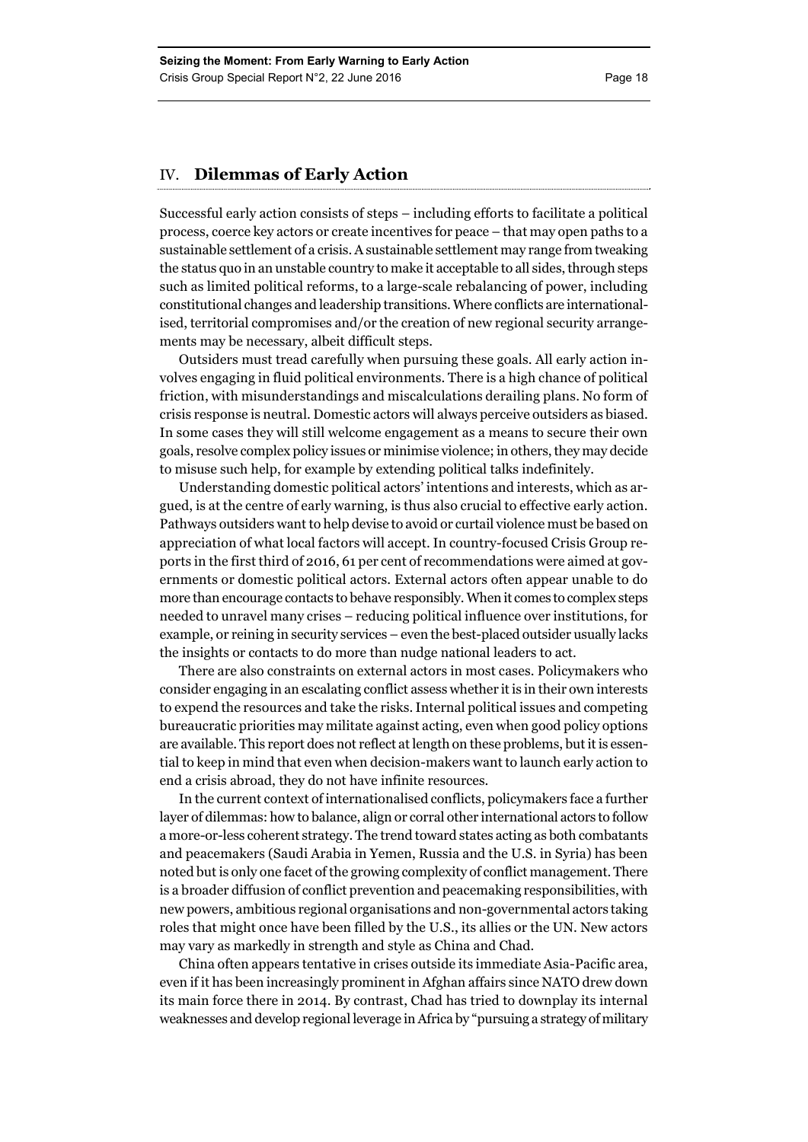#### IV. **Dilemmas of Early Action**

Successful early action consists of steps – including efforts to facilitate a political process, coerce key actors or create incentives for peace – that may open paths to a sustainable settlement of a crisis. A sustainable settlement may range from tweaking the status quo in an unstable country to make it acceptable to all sides, through steps such as limited political reforms, to a large-scale rebalancing of power, including constitutional changes and leadership transitions. Where conflicts are internationalised, territorial compromises and/or the creation of new regional security arrangements may be necessary, albeit difficult steps.

Outsiders must tread carefully when pursuing these goals. All early action involves engaging in fluid political environments. There is a high chance of political friction, with misunderstandings and miscalculations derailing plans. No form of crisis response is neutral. Domestic actors will always perceive outsiders as biased. In some cases they will still welcome engagement as a means to secure their own goals, resolve complex policy issues or minimise violence; in others, they may decide to misuse such help, for example by extending political talks indefinitely.

Understanding domestic political actors' intentions and interests, which as argued, is at the centre of early warning, is thus also crucial to effective early action. Pathways outsiders want to help devise to avoid or curtail violence must be based on appreciation of what local factors will accept. In country-focused Crisis Group reports in the first third of 2016, 61 per cent of recommendations were aimed at governments or domestic political actors. External actors often appear unable to do more than encourage contacts to behave responsibly. When it comes to complex steps needed to unravel many crises – reducing political influence over institutions, for example, or reining in security services – even the best-placed outsider usually lacks the insights or contacts to do more than nudge national leaders to act.

There are also constraints on external actors in most cases. Policymakers who consider engaging in an escalating conflict assess whether it is in their own interests to expend the resources and take the risks. Internal political issues and competing bureaucratic priorities may militate against acting, even when good policy options are available. This report does not reflect at length on these problems, but it is essential to keep in mind that even when decision-makers want to launch early action to end a crisis abroad, they do not have infinite resources.

In the current context of internationalised conflicts, policymakers face a further layer of dilemmas: how to balance, align or corral other international actors to follow a more-or-less coherent strategy. The trend toward states acting as both combatants and peacemakers (Saudi Arabia in Yemen, Russia and the U.S. in Syria) has been noted but is only one facet of the growing complexity of conflict management. There is a broader diffusion of conflict prevention and peacemaking responsibilities, with new powers, ambitious regional organisations and non-governmental actors taking roles that might once have been filled by the U.S., its allies or the UN. New actors may vary as markedly in strength and style as China and Chad.

China often appears tentative in crises outside its immediate Asia-Pacific area, even if it has been increasingly prominent in Afghan affairs since NATO drew down its main force there in 2014. By contrast, Chad has tried to downplay its internal weaknesses and develop regional leverage in Africa by "pursuing a strategy of military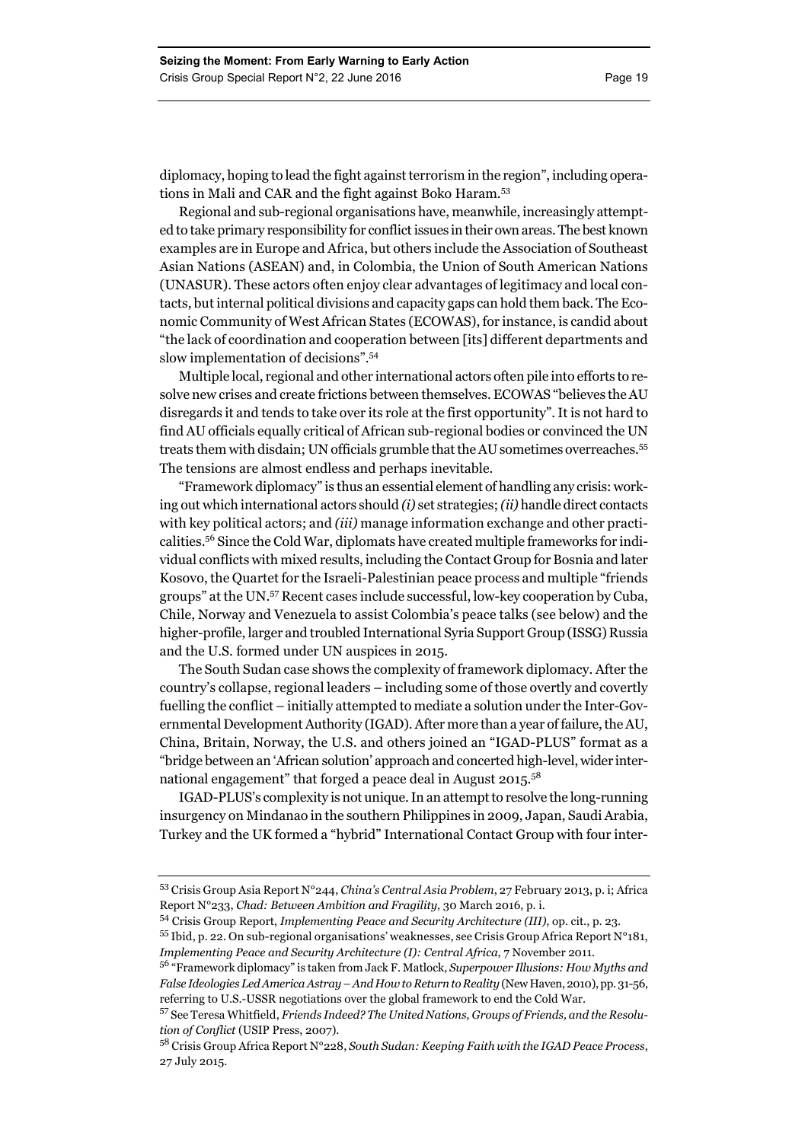diplomacy, hoping to lead the fight against terrorism in the region", including operations in Mali and CAR and the fight against Boko Haram.<sup>53</sup>

Regional and sub-regional organisations have, meanwhile, increasingly attempted to take primary responsibility for conflict issues in their own areas. The best known examples are in Europe and Africa, but others include the Association of Southeast Asian Nations (ASEAN) and, in Colombia, the Union of South American Nations (UNASUR). These actors often enjoy clear advantages of legitimacy and local contacts, but internal political divisions and capacity gaps can hold them back. The Economic Community of West African States (ECOWAS), for instance, is candid about "the lack of coordination and cooperation between [its] different departments and slow implementation of decisions".54

Multiple local, regional and other international actors often pile into efforts to resolve new crises and create frictions between themselves. ECOWAS "believes the AU disregards it and tends to take over its role at the first opportunity". It is not hard to find AU officials equally critical of African sub-regional bodies or convinced the UN treats them with disdain; UN officials grumble that the AU sometimes overreaches.55 The tensions are almost endless and perhaps inevitable.

"Framework diplomacy" is thus an essential element of handling any crisis: working out which international actors should *(i)* set strategies; *(ii)* handle direct contacts with key political actors; and *(iii)* manage information exchange and other practicalities.56 Since the Cold War, diplomats have created multiple frameworks for individual conflicts with mixed results, including the Contact Group for Bosnia and later Kosovo, the Quartet for the Israeli-Palestinian peace process and multiple "friends groups" at the UN.57 Recent cases include successful, low-key cooperation by Cuba, Chile, Norway and Venezuela to assist Colombia's peace talks (see below) and the higher-profile, larger and troubled International Syria Support Group (ISSG) Russia and the U.S. formed under UN auspices in 2015.

The South Sudan case shows the complexity of framework diplomacy. After the country's collapse, regional leaders – including some of those overtly and covertly fuelling the conflict – initially attempted to mediate a solution under the Inter-Governmental Development Authority (IGAD). After more than a year of failure, the AU, China, Britain, Norway, the U.S. and others joined an "IGAD-PLUS" format as a "bridge between an 'African solution' approach and concerted high-level, wider international engagement" that forged a peace deal in August 2015.<sup>58</sup>

IGAD-PLUS's complexity is not unique. In an attempt to resolve the long-running insurgency on Mindanao in the southern Philippines in 2009, Japan, Saudi Arabia, Turkey and the UK formed a "hybrid" International Contact Group with four inter-

<sup>53</sup> Crisis Group Asia Report N°244, *China's Central Asia Problem*, 27 February 2013, p. i; Africa Report N°233, *Chad: Between Ambition and Fragility*, 30 March 2016, p. i.

<sup>54</sup> Crisis Group Report, *Implementing Peace and Security Architecture (III)*, op. cit., p. 23.

<sup>55</sup> Ibid, p. 22. On sub-regional organisations' weaknesses, see Crisis Group Africa Report N°181, *Implementing Peace and Security Architecture (I): Central Africa*, 7 November 2011.

<sup>56 &</sup>quot;Framework diplomacy" is taken from Jack F. Matlock, *Superpower Illusions: How Myths and False Ideologies Led America Astray – And How to Return to Reality* (New Haven, 2010), pp. 31-56, referring to U.S.-USSR negotiations over the global framework to end the Cold War.

<sup>57</sup> See Teresa Whitfield, *Friends Indeed? The United Nations, Groups of Friends, and the Resolution of Conflict* (USIP Press, 2007).

<sup>58</sup> Crisis Group Africa Report N°228, *South Sudan: Keeping Faith with the IGAD Peace Process*, 27 July 2015.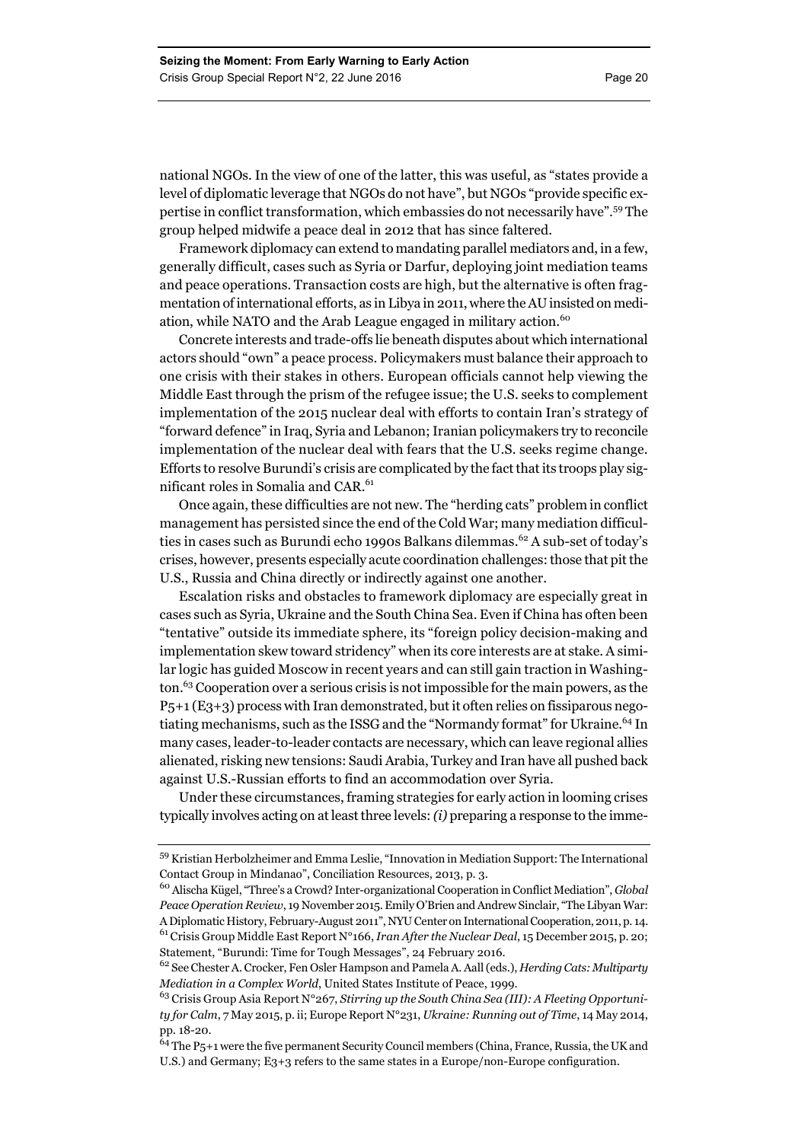national NGOs. In the view of one of the latter, this was useful, as "states provide a level of diplomatic leverage that NGOs do not have", but NGOs "provide specific expertise in conflict transformation, which embassies do not necessarily have".59 The group helped midwife a peace deal in 2012 that has since faltered.

Framework diplomacy can extend to mandating parallel mediators and, in a few, generally difficult, cases such as Syria or Darfur, deploying joint mediation teams and peace operations. Transaction costs are high, but the alternative is often fragmentation of international efforts, as in Libya in 2011, where the AU insisted on mediation, while NATO and the Arab League engaged in military action.<sup>60</sup>

Concrete interests and trade-offs lie beneath disputes about which international actors should "own" a peace process. Policymakers must balance their approach to one crisis with their stakes in others. European officials cannot help viewing the Middle East through the prism of the refugee issue; the U.S. seeks to complement implementation of the 2015 nuclear deal with efforts to contain Iran's strategy of "forward defence" in Iraq, Syria and Lebanon; Iranian policymakers try to reconcile implementation of the nuclear deal with fears that the U.S. seeks regime change. Efforts to resolve Burundi's crisis are complicated by the fact that its troops play significant roles in Somalia and CAR.<sup>61</sup>

Once again, these difficulties are not new. The "herding cats" problem in conflict management has persisted since the end of the Cold War; many mediation difficulties in cases such as Burundi echo 1990s Balkans dilemmas.<sup>62</sup> A sub-set of today's crises, however, presents especially acute coordination challenges: those that pit the U.S., Russia and China directly or indirectly against one another.

Escalation risks and obstacles to framework diplomacy are especially great in cases such as Syria, Ukraine and the South China Sea. Even if China has often been "tentative" outside its immediate sphere, its "foreign policy decision-making and implementation skew toward stridency" when its core interests are at stake. A similar logic has guided Moscow in recent years and can still gain traction in Washington.63 Cooperation over a serious crisis is not impossible for the main powers, as the P5+1 (E3+3) process with Iran demonstrated, but it often relies on fissiparous negotiating mechanisms, such as the ISSG and the "Normandy format" for Ukraine.<sup>64</sup> In many cases, leader-to-leader contacts are necessary, which can leave regional allies alienated, risking new tensions: Saudi Arabia, Turkey and Iran have all pushed back against U.S.-Russian efforts to find an accommodation over Syria.

Under these circumstances, framing strategies for early action in looming crises typically involves acting on at least three levels: *(i)* preparing a response to the imme-

<sup>59</sup> Kristian Herbolzheimer and Emma Leslie, "Innovation in Mediation Support: The International Contact Group in Mindanao", Conciliation Resources, 2013, p. 3.

<sup>60</sup> Alischa Kügel, "Three's a Crowd? Inter-organizational Cooperation in Conflict Mediation", *Global Peace Operation Review*, 19 November 2015. Emily O'Brien and Andrew Sinclair, "The Libyan War: A Diplomatic History, February-August 2011", NYU Center on International Cooperation, 2011, p. 14. 61 Crisis Group Middle East Report N°166, *Iran After the Nuclear Deal*, 15 December 2015, p. 20; Statement, "Burundi: Time for Tough Messages", 24 February 2016.

<sup>62</sup> See Chester A. Crocker, Fen Osler Hampson and Pamela A. Aall (eds.), *Herding Cats: Multiparty Mediation in a Complex World*, United States Institute of Peace, 1999.

<sup>63</sup> Crisis Group Asia Report N°267, *Stirring up the South China Sea (III): A Fleeting Opportunity for Calm*, 7 May 2015, p. ii; Europe Report N°231, *Ukraine: Running out of Time*, 14 May 2014, pp. 18-20.

 $64$  The P5+1 were the five permanent Security Council members (China, France, Russia, the UK and U.S.) and Germany; E3+3 refers to the same states in a Europe/non-Europe configuration.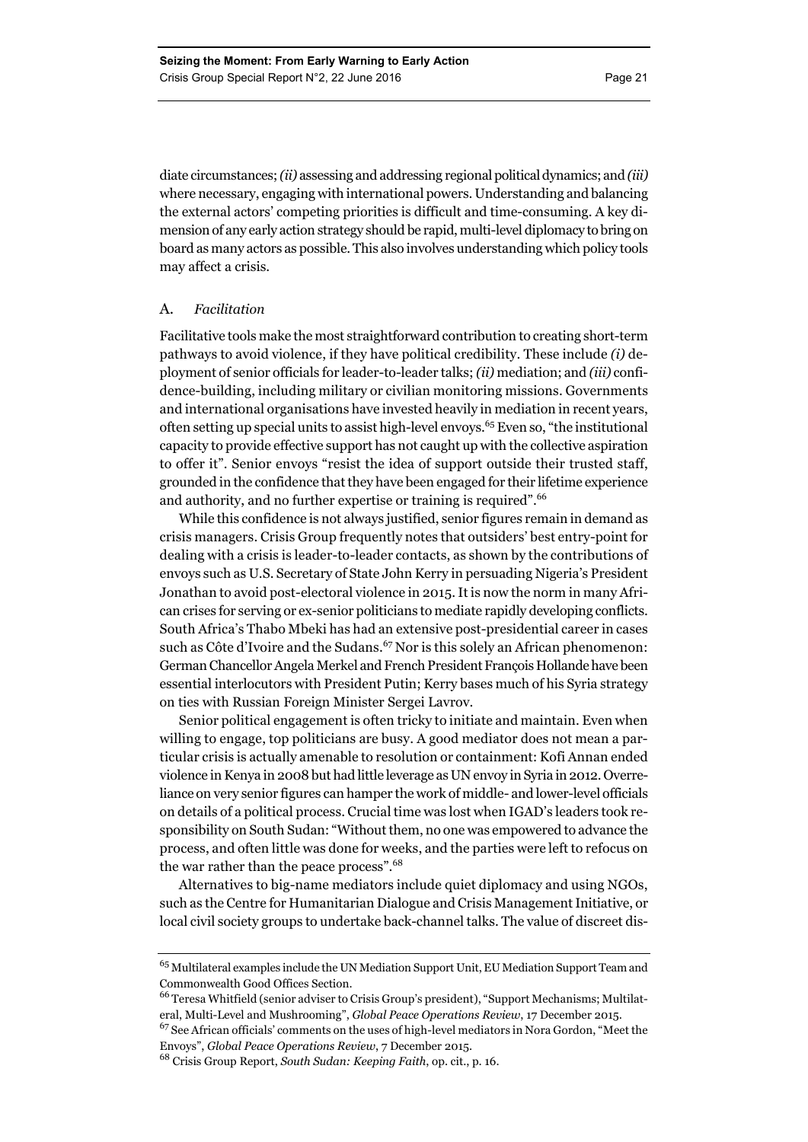diate circumstances; *(ii)* assessing and addressing regional political dynamics; and *(iii)* where necessary, engaging with international powers. Understanding and balancing the external actors' competing priorities is difficult and time-consuming. A key dimension of any early action strategy should be rapid, multi-level diplomacy to bring on board as many actors as possible. This also involves understanding which policy tools may affect a crisis.

#### A. *Facilitation*

Facilitative tools make the most straightforward contribution to creating short-term pathways to avoid violence, if they have political credibility. These include *(i)* deployment of senior officials for leader-to-leader talks; *(ii)* mediation; and *(iii)* confidence-building, including military or civilian monitoring missions. Governments and international organisations have invested heavily in mediation in recent years, often setting up special units to assist high-level envoys.<sup>65</sup> Even so, "the institutional capacity to provide effective support has not caught up with the collective aspiration to offer it". Senior envoys "resist the idea of support outside their trusted staff, grounded in the confidence that they have been engaged for their lifetime experience and authority, and no further expertise or training is required".<sup>66</sup>

While this confidence is not always justified, senior figures remain in demand as crisis managers. Crisis Group frequently notes that outsiders' best entry-point for dealing with a crisis is leader-to-leader contacts, as shown by the contributions of envoys such as U.S. Secretary of State John Kerry in persuading Nigeria's President Jonathan to avoid post-electoral violence in 2015. It is now the norm in many African crises for serving or ex-senior politicians to mediate rapidly developing conflicts. South Africa's Thabo Mbeki has had an extensive post-presidential career in cases such as Côte d'Ivoire and the Sudans.<sup>67</sup> Nor is this solely an African phenomenon: German Chancellor Angela Merkel and French President François Hollande have been essential interlocutors with President Putin; Kerry bases much of his Syria strategy on ties with Russian Foreign Minister Sergei Lavrov.

Senior political engagement is often tricky to initiate and maintain. Even when willing to engage, top politicians are busy. A good mediator does not mean a particular crisis is actually amenable to resolution or containment: Kofi Annan ended violence in Kenya in 2008 but had little leverage as UN envoy in Syria in 2012. Overreliance on very senior figures can hamper the work of middle- and lower-level officials on details of a political process. Crucial time was lost when IGAD's leaders took responsibility on South Sudan: "Without them, no one was empowered to advance the process, and often little was done for weeks, and the parties were left to refocus on the war rather than the peace process".<sup>68</sup>

Alternatives to big-name mediators include quiet diplomacy and using NGOs, such as the Centre for Humanitarian Dialogue and Crisis Management Initiative, or local civil society groups to undertake back-channel talks. The value of discreet dis-

 $^{65}\,$ Multilateral examples include the UN Mediation Support Unit, EU Mediation Support Team and Commonwealth Good Offices Section.

<sup>66</sup> Teresa Whitfield (senior adviser to Crisis Group's president), "Support Mechanisms; Multilateral, Multi-Level and Mushrooming", *Global Peace Operations Review*, 17 December 2015.

<sup>67</sup> See African officials' comments on the uses of high-level mediators in Nora Gordon, "Meet the Envoys", *Global Peace Operations Review*, 7 December 2015.

<sup>68</sup> Crisis Group Report, *South Sudan: Keeping Faith*, op. cit., p. 16.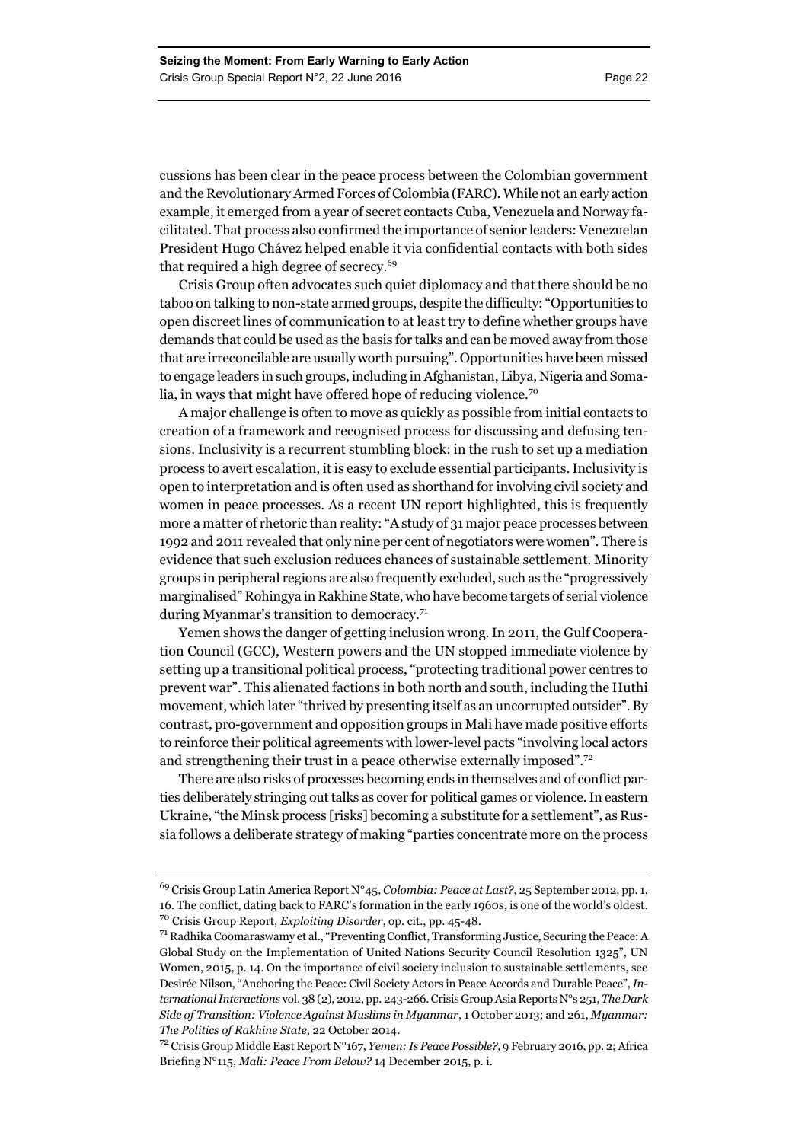cussions has been clear in the peace process between the Colombian government and the Revolutionary Armed Forces of Colombia (FARC). While not an early action example, it emerged from a year of secret contacts Cuba, Venezuela and Norway facilitated. That process also confirmed the importance of senior leaders: Venezuelan President Hugo Chávez helped enable it via confidential contacts with both sides that required a high degree of secrecy.<sup>69</sup>

Crisis Group often advocates such quiet diplomacy and that there should be no taboo on talking to non-state armed groups, despite the difficulty: "Opportunities to open discreet lines of communication to at least try to define whether groups have demands that could be used as the basis for talks and can be moved away from those that are irreconcilable are usually worth pursuing". Opportunities have been missed to engage leaders in such groups, including in Afghanistan, Libya, Nigeria and Somalia, in ways that might have offered hope of reducing violence.<sup>70</sup>

A major challenge is often to move as quickly as possible from initial contacts to creation of a framework and recognised process for discussing and defusing tensions. Inclusivity is a recurrent stumbling block: in the rush to set up a mediation process to avert escalation, it is easy to exclude essential participants. Inclusivity is open to interpretation and is often used as shorthand for involving civil society and women in peace processes. As a recent UN report highlighted, this is frequently more a matter of rhetoric than reality: "A study of 31 major peace processes between 1992 and 2011 revealed that only nine per cent of negotiators were women". There is evidence that such exclusion reduces chances of sustainable settlement. Minority groups in peripheral regions are also frequently excluded, such as the "progressively marginalised" Rohingya in Rakhine State, who have become targets of serial violence during Myanmar's transition to democracy.<sup>71</sup>

Yemen shows the danger of getting inclusion wrong. In 2011, the Gulf Cooperation Council (GCC), Western powers and the UN stopped immediate violence by setting up a transitional political process, "protecting traditional power centres to prevent war". This alienated factions in both north and south, including the Huthi movement, which later "thrived by presenting itself as an uncorrupted outsider". By contrast, pro-government and opposition groups in Mali have made positive efforts to reinforce their political agreements with lower-level pacts "involving local actors and strengthening their trust in a peace otherwise externally imposed".<sup>72</sup>

There are also risks of processes becoming ends in themselves and of conflict parties deliberately stringing out talks as cover for political games or violence. In eastern Ukraine, "the Minsk process [risks] becoming a substitute for a settlement", as Russia follows a deliberate strategy of making "parties concentrate more on the process

<sup>69</sup> Crisis Group Latin America Report N°45, *Colombia: Peace at Last?*, 25 September 2012, pp. 1, 16. The conflict, dating back to FARC's formation in the early 1960s, is one of the world's oldest. 70 Crisis Group Report, *Exploiting Disorder*, op. cit., pp. 45-48.

<sup>71</sup> Radhika Coomaraswamy et al., "Preventing Conflict, Transforming Justice, Securing the Peace: A Global Study on the Implementation of United Nations Security Council Resolution 1325", UN Women, 2015, p. 14. On the importance of civil society inclusion to sustainable settlements, see Desirée Nilson, "Anchoring the Peace: Civil Society Actors in Peace Accords and Durable Peace", *International Interactions* vol. 38 (2), 2012, pp. 243-266. Crisis Group Asia Reports N°s 251, *The Dark Side of Transition: Violence Against Muslims in Myanmar*, 1 October 2013; and 261, *Myanmar: The Politics of Rakhine State*, 22 October 2014.

<sup>72</sup> Crisis Group Middle East Report N°167, *Yemen: Is Peace Possible?,* 9 February 2016, pp. 2; Africa Briefing N°115, *Mali: Peace From Below?* 14 December 2015, p. i.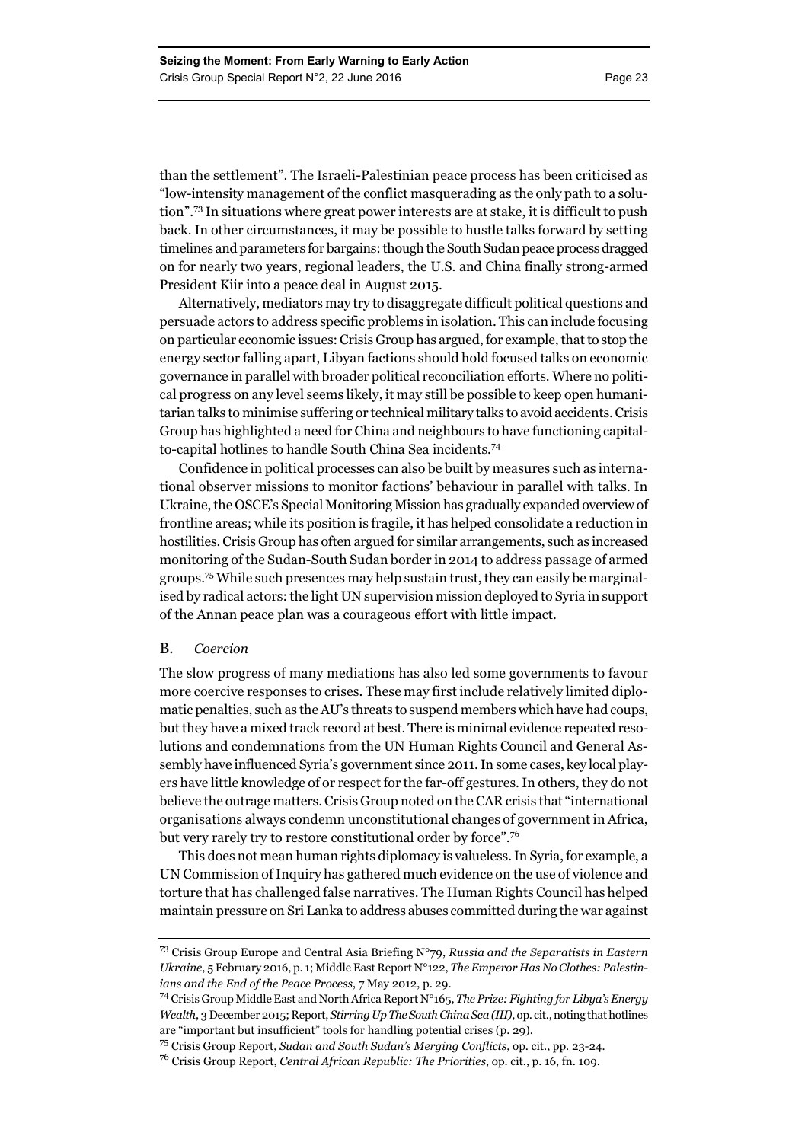than the settlement". The Israeli-Palestinian peace process has been criticised as "low-intensity management of the conflict masquerading as the only path to a solution".73 In situations where great power interests are at stake, it is difficult to push back. In other circumstances, it may be possible to hustle talks forward by setting timelines and parameters for bargains: though the South Sudan peace process dragged on for nearly two years, regional leaders, the U.S. and China finally strong-armed President Kiir into a peace deal in August 2015.

Alternatively, mediators may try to disaggregate difficult political questions and persuade actors to address specific problems in isolation. This can include focusing on particular economic issues: Crisis Group has argued, for example, that to stop the energy sector falling apart, Libyan factions should hold focused talks on economic governance in parallel with broader political reconciliation efforts. Where no political progress on any level seems likely, it may still be possible to keep open humanitarian talks to minimise suffering or technical military talks to avoid accidents. Crisis Group has highlighted a need for China and neighbours to have functioning capitalto-capital hotlines to handle South China Sea incidents.<sup>74</sup>

Confidence in political processes can also be built by measures such as international observer missions to monitor factions' behaviour in parallel with talks. In Ukraine, the OSCE's Special Monitoring Mission has gradually expanded overview of frontline areas; while its position is fragile, it has helped consolidate a reduction in hostilities. Crisis Group has often argued for similar arrangements, such as increased monitoring of the Sudan-South Sudan border in 2014 to address passage of armed groups.75 While such presences may help sustain trust, they can easily be marginalised by radical actors: the light UN supervision mission deployed to Syria in support of the Annan peace plan was a courageous effort with little impact.

#### B. *Coercion*

The slow progress of many mediations has also led some governments to favour more coercive responses to crises. These may first include relatively limited diplomatic penalties, such as the AU's threats to suspend members which have had coups, but they have a mixed track record at best. There is minimal evidence repeated resolutions and condemnations from the UN Human Rights Council and General Assembly have influenced Syria's government since 2011. In some cases, key local players have little knowledge of or respect for the far-off gestures. In others, they do not believe the outrage matters. Crisis Group noted on the CAR crisis that "international organisations always condemn unconstitutional changes of government in Africa, but very rarely try to restore constitutional order by force".<sup>76</sup>

This does not mean human rights diplomacy is valueless. In Syria, for example, a UN Commission of Inquiry has gathered much evidence on the use of violence and torture that has challenged false narratives. The Human Rights Council has helped maintain pressure on Sri Lanka to address abuses committed during the war against

<sup>73</sup> Crisis Group Europe and Central Asia Briefing N°79, *Russia and the Separatists in Eastern Ukraine*, 5 February 2016, p. 1; Middle East Report N°122, *The Emperor Has No Clothes: Palestinians and the End of the Peace Process*, 7 May 2012, p. 29.

<sup>74</sup> Crisis Group Middle East and North Africa Report N°165, *The Prize: Fighting for Libya's Energy Wealth*, 3 December 2015; Report, *Stirring Up The South China Sea (III)*, op. cit., noting that hotlines are "important but insufficient" tools for handling potential crises (p. 29).

<sup>75</sup> Crisis Group Report, *Sudan and South Sudan's Merging Conflicts*, op. cit., pp. 23-24.

<sup>76</sup> Crisis Group Report, *Central African Republic: The Priorities*, op. cit., p. 16, fn. 109.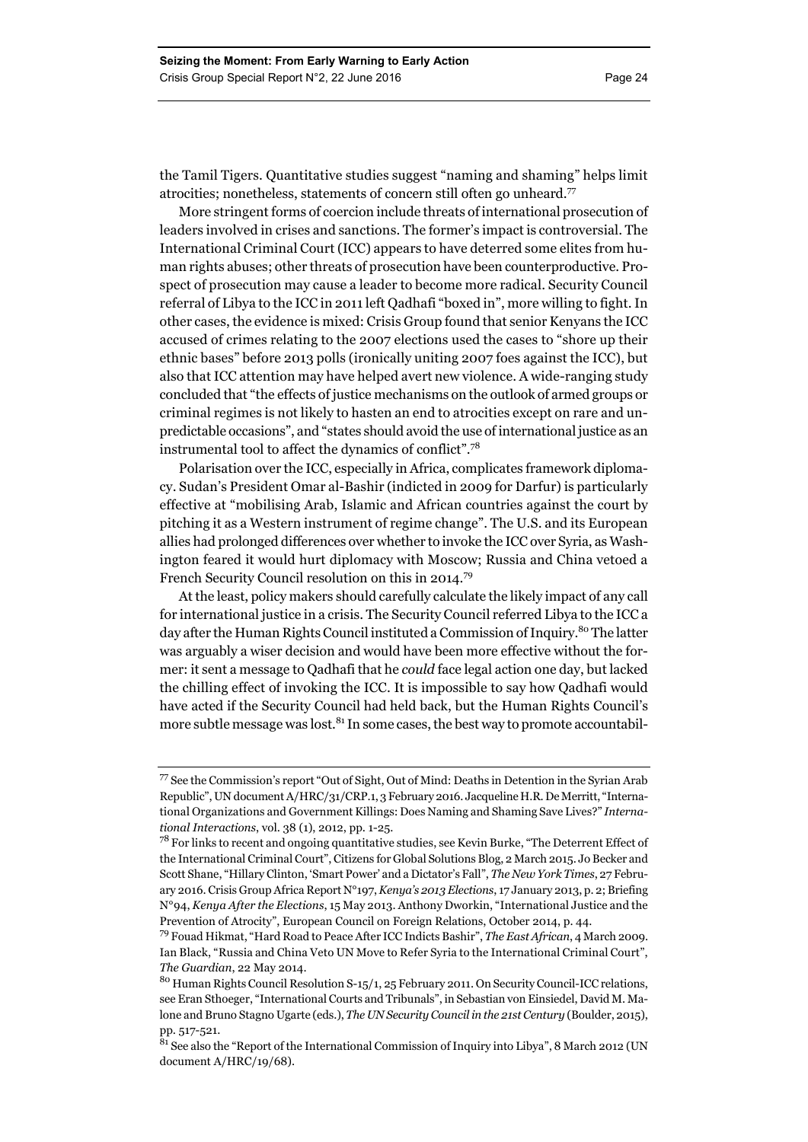the Tamil Tigers. Quantitative studies suggest "naming and shaming" helps limit atrocities; nonetheless, statements of concern still often go unheard.<sup>77</sup>

More stringent forms of coercion include threats of international prosecution of leaders involved in crises and sanctions. The former's impact is controversial. The International Criminal Court (ICC) appears to have deterred some elites from human rights abuses; other threats of prosecution have been counterproductive. Prospect of prosecution may cause a leader to become more radical. Security Council referral of Libya to the ICC in 2011 left Qadhafi "boxed in", more willing to fight. In other cases, the evidence is mixed: Crisis Group found that senior Kenyans the ICC accused of crimes relating to the 2007 elections used the cases to "shore up their ethnic bases" before 2013 polls (ironically uniting 2007 foes against the ICC), but also that ICC attention may have helped avert new violence. A wide-ranging study concluded that "the effects of justice mechanisms on the outlook of armed groups or criminal regimes is not likely to hasten an end to atrocities except on rare and unpredictable occasions", and "states should avoid the use of international justice as an instrumental tool to affect the dynamics of conflict".<sup>78</sup>

Polarisation over the ICC, especially in Africa, complicates framework diplomacy. Sudan's President Omar al-Bashir (indicted in 2009 for Darfur) is particularly effective at "mobilising Arab, Islamic and African countries against the court by pitching it as a Western instrument of regime change". The U.S. and its European allies had prolonged differences over whether to invoke the ICC over Syria, as Washington feared it would hurt diplomacy with Moscow; Russia and China vetoed a French Security Council resolution on this in 2014.79

At the least, policy makers should carefully calculate the likely impact of any call for international justice in a crisis. The Security Council referred Libya to the ICC a day after the Human Rights Council instituted a Commission of Inquiry.<sup>80</sup> The latter was arguably a wiser decision and would have been more effective without the former: it sent a message to Qadhafi that he *could* face legal action one day, but lacked the chilling effect of invoking the ICC. It is impossible to say how Qadhafi would have acted if the Security Council had held back, but the Human Rights Council's more subtle message was lost. $81$  In some cases, the best way to promote accountabil-

<sup>77</sup> See the Commission's report "Out of Sight, Out of Mind: Deaths in Detention in the Syrian Arab Republic", UN document A/HRC/31/CRP.1, 3 February 2016. Jacqueline H.R. De Merritt, "International Organizations and Government Killings: Does Naming and Shaming Save Lives?" *International Interactions*, vol. 38 (1), 2012, pp. 1-25.

<sup>&</sup>lt;sup>78</sup> For links to recent and ongoing quantitative studies, see Kevin Burke, "The Deterrent Effect of the International Criminal Court", Citizens for Global Solutions Blog, 2 March 2015. Jo Becker and Scott Shane, "Hillary Clinton, 'Smart Power' and a Dictator's Fall", *The New York Times*, 27 February 2016. Crisis Group Africa Report N°197, *Kenya's 2013 Elections*, 17 January 2013, p. 2; Briefing N°94, *Kenya After the Elections*, 15 May 2013. Anthony Dworkin, "International Justice and the Prevention of Atrocity", European Council on Foreign Relations, October 2014, p. 44.

<sup>79</sup> Fouad Hikmat, "Hard Road to Peace After ICC Indicts Bashir", *The East African*, 4 March 2009. Ian Black, "Russia and China Veto UN Move to Refer Syria to the International Criminal Court", *The Guardian*, 22 May 2014.

<sup>80</sup> Human Rights Council Resolution S-15/1, 25 February 2011. On Security Council-ICC relations, see Eran Sthoeger, "International Courts and Tribunals", in Sebastian von Einsiedel, David M. Malone and Bruno Stagno Ugarte (eds.), *The UN Security Council in the 21st Century* (Boulder, 2015), pp. 517-521.

 $81$  See also the "Report of the International Commission of Inquiry into Libya", 8 March 2012 (UN document A/HRC/19/68).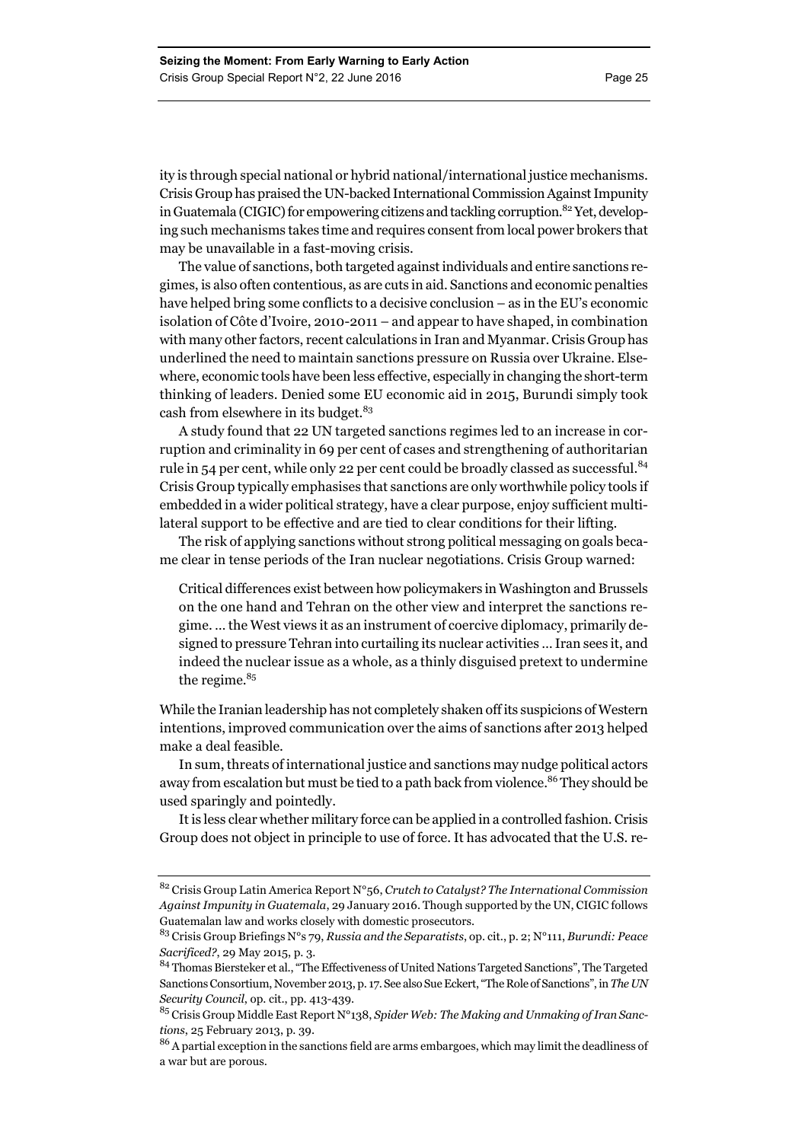ity is through special national or hybrid national/international justice mechanisms. Crisis Group has praised the UN-backed International Commission Against Impunity in Guatemala (CIGIC) for empowering citizens and tackling corruption.<sup>82</sup> Yet, developing such mechanisms takes time and requires consent from local power brokers that may be unavailable in a fast-moving crisis.

The value of sanctions, both targeted against individuals and entire sanctions regimes, is also often contentious, as are cuts in aid. Sanctions and economic penalties have helped bring some conflicts to a decisive conclusion – as in the EU's economic isolation of Côte d'Ivoire, 2010-2011 – and appear to have shaped, in combination with many other factors, recent calculations in Iran and Myanmar. Crisis Group has underlined the need to maintain sanctions pressure on Russia over Ukraine. Elsewhere, economic tools have been less effective, especially in changing the short-term thinking of leaders. Denied some EU economic aid in 2015, Burundi simply took cash from elsewhere in its budget.<sup>83</sup>

A study found that 22 UN targeted sanctions regimes led to an increase in corruption and criminality in 69 per cent of cases and strengthening of authoritarian rule in 54 per cent, while only 22 per cent could be broadly classed as successful.<sup>84</sup> Crisis Group typically emphasises that sanctions are only worthwhile policy tools if embedded in a wider political strategy, have a clear purpose, enjoy sufficient multilateral support to be effective and are tied to clear conditions for their lifting.

The risk of applying sanctions without strong political messaging on goals became clear in tense periods of the Iran nuclear negotiations. Crisis Group warned:

Critical differences exist between how policymakers in Washington and Brussels on the one hand and Tehran on the other view and interpret the sanctions regime. … the West views it as an instrument of coercive diplomacy, primarily designed to pressure Tehran into curtailing its nuclear activities … Iran sees it, and indeed the nuclear issue as a whole, as a thinly disguised pretext to undermine the regime.<sup>85</sup>

While the Iranian leadership has not completely shaken off its suspicions of Western intentions, improved communication over the aims of sanctions after 2013 helped make a deal feasible.

In sum, threats of international justice and sanctions may nudge political actors away from escalation but must be tied to a path back from violence.<sup>86</sup> They should be used sparingly and pointedly.

It is less clear whether military force can be applied in a controlled fashion. Crisis Group does not object in principle to use of force. It has advocated that the U.S. re-

<sup>82</sup> Crisis Group Latin America Report N°56, *Crutch to Catalyst? The International Commission Against Impunity in Guatemala*, 29 January 2016. Though supported by the UN, CIGIC follows Guatemalan law and works closely with domestic prosecutors.

<sup>83</sup> Crisis Group Briefings N°s 79, *Russia and the Separatists*, op. cit., p. 2; N°111, *Burundi: Peace Sacrificed?*, 29 May 2015, p. 3.

<sup>&</sup>lt;sup>84</sup> Thomas Biersteker et al., "The Effectiveness of United Nations Targeted Sanctions", The Targeted Sanctions Consortium, November 2013, p. 17. See also Sue Eckert, "The Role of Sanctions", in *The UN Security Council*, op. cit., pp. 413-439.

<sup>85</sup> Crisis Group Middle East Report N°138, *Spider Web: The Making and Unmaking of Iran Sanctions*, 25 February 2013, p. 39.

 $^{86}\!$  A partial exception in the sanctions field are arms embargoes, which may limit the deadliness of a war but are porous.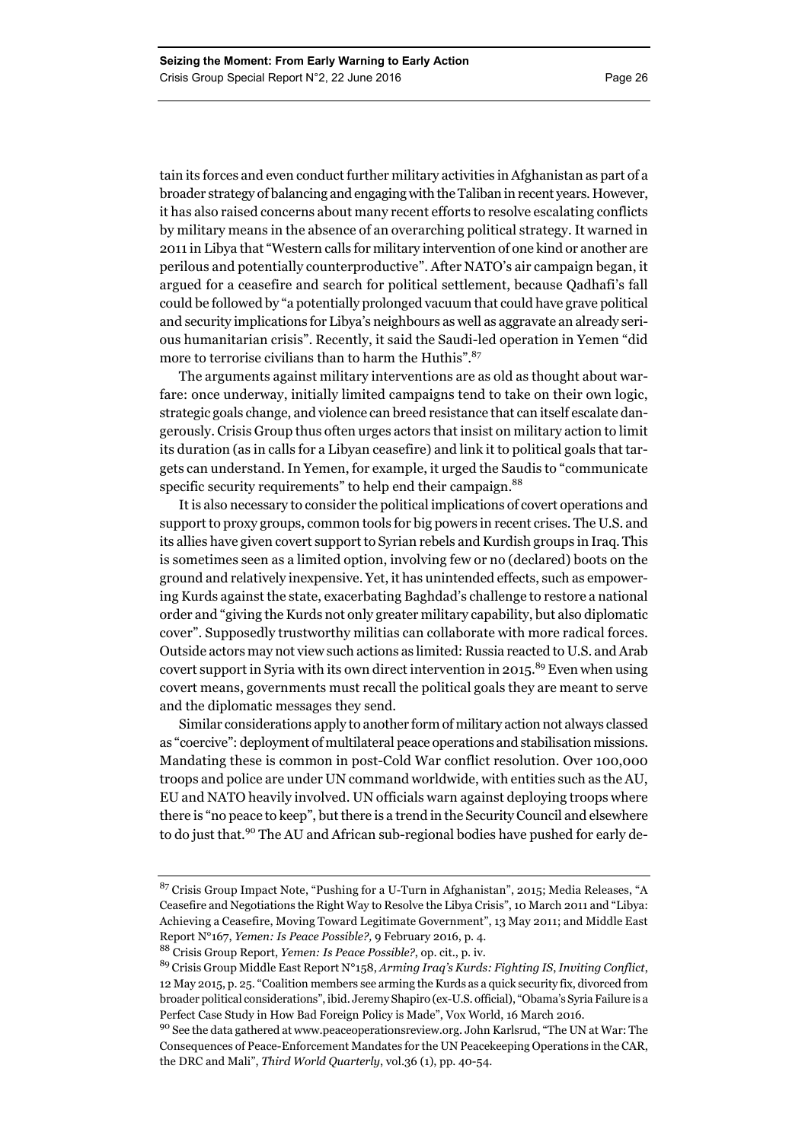tain its forces and even conduct further military activities in Afghanistan as part of a broader strategy of balancing and engaging with the Taliban in recent years. However, it has also raised concerns about many recent efforts to resolve escalating conflicts by military means in the absence of an overarching political strategy. It warned in 2011 in Libya that "Western calls for military intervention of one kind or another are perilous and potentially counterproductive". After NATO's air campaign began, it argued for a ceasefire and search for political settlement, because Qadhafi's fall could be followed by "a potentially prolonged vacuum that could have grave political and security implications for Libya's neighbours as well as aggravate an already serious humanitarian crisis". Recently, it said the Saudi-led operation in Yemen "did more to terrorise civilians than to harm the Huthis".<sup>87</sup>

The arguments against military interventions are as old as thought about warfare: once underway, initially limited campaigns tend to take on their own logic, strategic goals change, and violence can breed resistance that can itself escalate dangerously. Crisis Group thus often urges actors that insist on military action to limit its duration (as in calls for a Libyan ceasefire) and link it to political goals that targets can understand. In Yemen, for example, it urged the Saudis to "communicate specific security requirements" to help end their campaign.<sup>88</sup>

It is also necessary to consider the political implications of covert operations and support to proxy groups, common tools for big powers in recent crises. The U.S. and its allies have given covert support to Syrian rebels and Kurdish groups in Iraq. This is sometimes seen as a limited option, involving few or no (declared) boots on the ground and relatively inexpensive. Yet, it has unintended effects, such as empowering Kurds against the state, exacerbating Baghdad's challenge to restore a national order and "giving the Kurds not only greater military capability, but also diplomatic cover". Supposedly trustworthy militias can collaborate with more radical forces. Outside actors may not view such actions as limited: Russia reacted to U.S. and Arab covert support in Syria with its own direct intervention in 2015.<sup>89</sup> Even when using covert means, governments must recall the political goals they are meant to serve and the diplomatic messages they send.

Similar considerations apply to another form of military action not always classed as "coercive": deployment of multilateral peace operations and stabilisation missions. Mandating these is common in post-Cold War conflict resolution. Over 100,000 troops and police are under UN command worldwide, with entities such as the AU, EU and NATO heavily involved. UN officials warn against deploying troops where there is "no peace to keep", but there is a trend in the Security Council and elsewhere to do just that.<sup>90</sup> The AU and African sub-regional bodies have pushed for early de-

<sup>87</sup> Crisis Group Impact Note, "Pushing for a U-Turn in Afghanistan", 2015; Media Releases, "A Ceasefire and Negotiations the Right Way to Resolve the Libya Crisis", 10 March 2011 and "Libya: Achieving a Ceasefire, Moving Toward Legitimate Government", 13 May 2011; and Middle East Report N°167, *Yemen: Is Peace Possible?,* 9 February 2016, p. 4.

<sup>88</sup> Crisis Group Report, *Yemen: Is Peace Possible?*, op. cit., p. iv.

<sup>89</sup> Crisis Group Middle East Report N°158, *Arming Iraq's Kurds: Fighting IS*, *Inviting Conflict*, 12 May 2015, p. 25. "Coalition members see arming the Kurds as a quick security fix, divorced from broader political considerations", ibid. Jeremy Shapiro (ex-U.S. official), "Obama's Syria Failure is a Perfect Case Study in How Bad Foreign Policy is Made", Vox World, 16 March 2016.

<sup>90</sup> See the data gathered at www.peaceoperationsreview.org. John Karlsrud, "The UN at War: The Consequences of Peace-Enforcement Mandates for the UN Peacekeeping Operations in the CAR, the DRC and Mali", *Third World Quarterly*, vol.36 (1), pp. 40-54.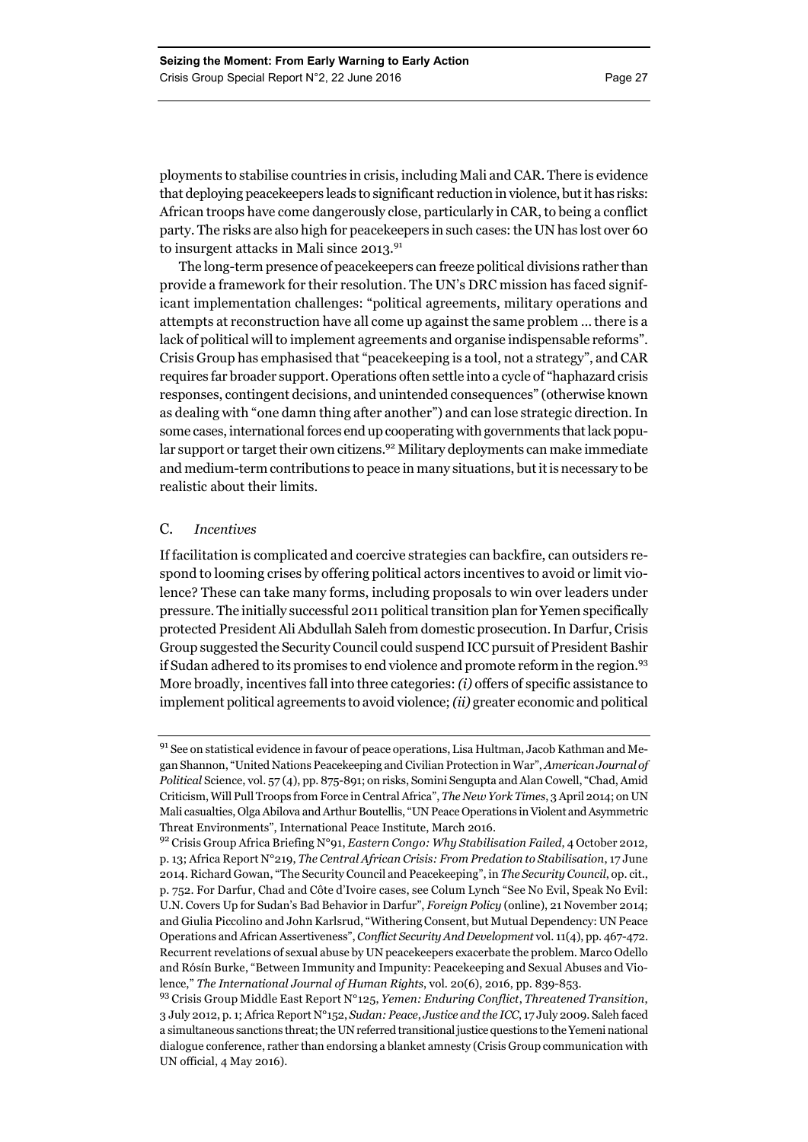ployments to stabilise countries in crisis, including Mali and CAR. There is evidence that deploying peacekeepers leads to significant reduction in violence, but it has risks: African troops have come dangerously close, particularly in CAR, to being a conflict party. The risks are also high for peacekeepers in such cases: the UN has lost over 60 to insurgent attacks in Mali since 2013.<sup>91</sup>

The long-term presence of peacekeepers can freeze political divisions rather than provide a framework for their resolution. The UN's DRC mission has faced significant implementation challenges: "political agreements, military operations and attempts at reconstruction have all come up against the same problem … there is a lack of political will to implement agreements and organise indispensable reforms". Crisis Group has emphasised that "peacekeeping is a tool, not a strategy", and CAR requires far broader support. Operations often settle into a cycle of "haphazard crisis responses, contingent decisions, and unintended consequences" (otherwise known as dealing with "one damn thing after another") and can lose strategic direction. In some cases, international forces end up cooperating with governments that lack popular support or target their own citizens.<sup>92</sup> Military deployments can make immediate and medium-term contributions to peace in many situations, but it is necessary to be realistic about their limits.

#### C. *Incentives*

If facilitation is complicated and coercive strategies can backfire, can outsiders respond to looming crises by offering political actors incentives to avoid or limit violence? These can take many forms, including proposals to win over leaders under pressure. The initially successful 2011 political transition plan for Yemen specifically protected President Ali Abdullah Saleh from domestic prosecution. In Darfur, Crisis Group suggested the Security Council could suspend ICC pursuit of President Bashir if Sudan adhered to its promises to end violence and promote reform in the region.93 More broadly, incentives fall into three categories: *(i)* offers of specific assistance to implement political agreements to avoid violence; *(ii)* greater economic and political

<sup>&</sup>lt;sup>91</sup> See on statistical evidence in favour of peace operations, Lisa Hultman, Jacob Kathman and Megan Shannon, "United Nations Peacekeeping and Civilian Protection in War", *American Journal of Political* Science, vol. 57 (4), pp. 875-891; on risks, Somini Sengupta and Alan Cowell, "Chad, Amid Criticism, Will Pull Troops from Force in Central Africa", *The New York Times*, 3 April 2014; on UN Mali casualties, Olga Abilova and Arthur Boutellis, "UN Peace Operations in Violent and Asymmetric Threat Environments", International Peace Institute, March 2016.

<sup>92</sup> Crisis Group Africa Briefing N°91, *Eastern Congo: Why Stabilisation Failed*, 4 October 2012, p. 13; Africa Report N°219, *The Central African Crisis: From Predation to Stabilisation*, 17 June 2014. Richard Gowan, "The Security Council and Peacekeeping", in *The Security Council*, op. cit., p. 752. For Darfur, Chad and Côte d'Ivoire cases, see Colum Lynch "See No Evil, Speak No Evil: U.N. Covers Up for Sudan's Bad Behavior in Darfur", *Foreign Policy* (online), 21 November 2014; and Giulia Piccolino and John Karlsrud, "Withering Consent, but Mutual Dependency: UN Peace Operations and African Assertiveness", *Conflict Security And Development* vol. 11(4), pp. 467-472. Recurrent revelations of sexual abuse by UN peacekeepers exacerbate the problem. Marco Odello and Rósín Burke, "Between Immunity and Impunity: Peacekeeping and Sexual Abuses and Violence," *The International Journal of Human Rights*, vol. 20(6), 2016, pp. 839-853.

<sup>93</sup> Crisis Group Middle East Report N°125, *Yemen: Enduring Conflict*, *Threatened Transition*, 3 July 2012, p. 1; Africa Report N°152, *Sudan: Peace*, *Justice and the ICC*, 17 July 2009. Saleh faced a simultaneous sanctions threat; the UN referred transitional justice questions to the Yemeni national dialogue conference, rather than endorsing a blanket amnesty (Crisis Group communication with UN official, 4 May 2016).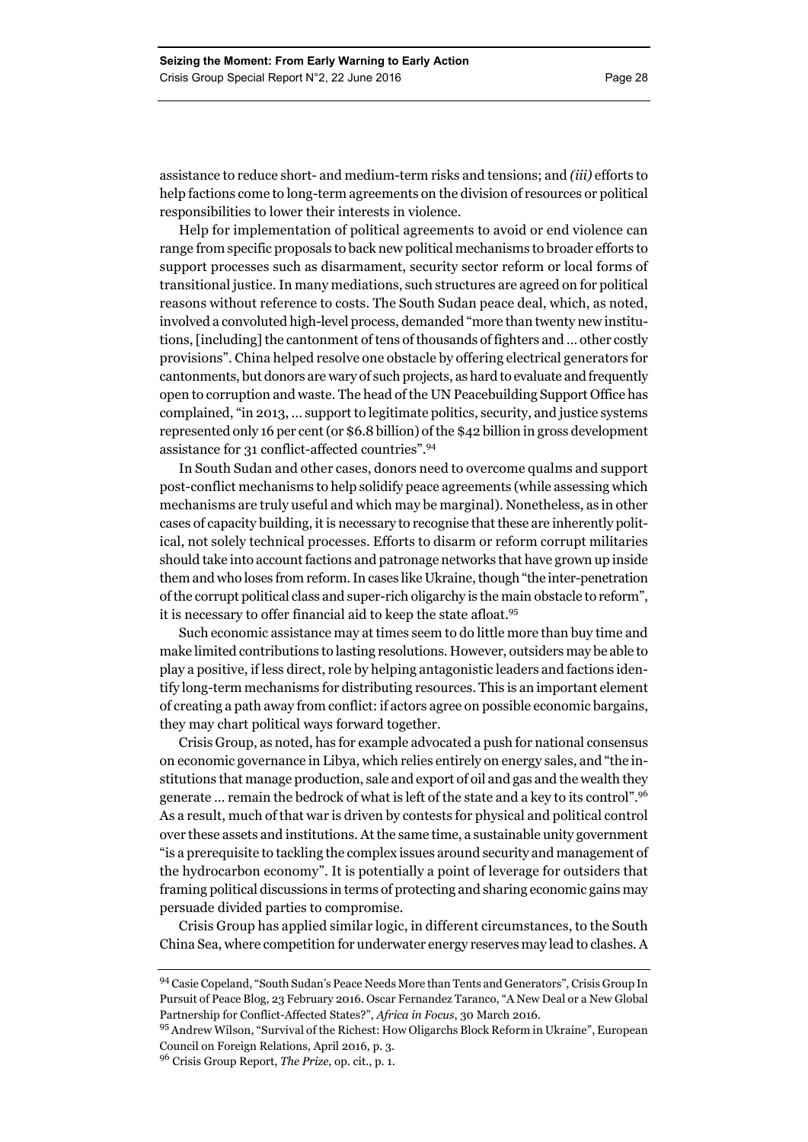assistance to reduce short- and medium-term risks and tensions; and *(iii)* efforts to help factions come to long-term agreements on the division of resources or political responsibilities to lower their interests in violence.

Help for implementation of political agreements to avoid or end violence can range from specific proposals to back new political mechanisms to broader efforts to support processes such as disarmament, security sector reform or local forms of transitional justice. In many mediations, such structures are agreed on for political reasons without reference to costs. The South Sudan peace deal, which, as noted, involved a convoluted high-level process, demanded "more than twenty new institutions, [including] the cantonment of tens of thousands of fighters and … other costly provisions". China helped resolve one obstacle by offering electrical generators for cantonments, but donors are wary of such projects, as hard to evaluate and frequently open to corruption and waste. The head of the UN Peacebuilding Support Office has complained, "in 2013, … support to legitimate politics, security, and justice systems represented only 16 per cent (or \$6.8 billion) of the \$42 billion in gross development assistance for 31 conflict-affected countries".<sup>94</sup>

In South Sudan and other cases, donors need to overcome qualms and support post-conflict mechanisms to help solidify peace agreements (while assessing which mechanisms are truly useful and which may be marginal). Nonetheless, as in other cases of capacity building, it is necessary to recognise that these are inherently political, not solely technical processes. Efforts to disarm or reform corrupt militaries should take into account factions and patronage networks that have grown up inside them and who loses from reform. In cases like Ukraine, though "the inter-penetration of the corrupt political class and super-rich oligarchy is the main obstacle to reform", it is necessary to offer financial aid to keep the state afloat.95

Such economic assistance may at times seem to do little more than buy time and make limited contributions to lasting resolutions. However, outsiders may be able to play a positive, if less direct, role by helping antagonistic leaders and factions identify long-term mechanisms for distributing resources. This is an important element of creating a path away from conflict: if actors agree on possible economic bargains, they may chart political ways forward together.

Crisis Group, as noted, has for example advocated a push for national consensus on economic governance in Libya, which relies entirely on energy sales, and "the institutions that manage production, sale and export of oil and gas and the wealth they generate … remain the bedrock of what is left of the state and a key to its control".96 As a result, much of that war is driven by contests for physical and political control over these assets and institutions. At the same time, a sustainable unity government "is a prerequisite to tackling the complex issues around security and management of the hydrocarbon economy". It is potentially a point of leverage for outsiders that framing political discussions in terms of protecting and sharing economic gains may persuade divided parties to compromise.

Crisis Group has applied similar logic, in different circumstances, to the South China Sea, where competition for underwater energy reserves may lead to clashes. A

<sup>94</sup> Casie Copeland, "South Sudan's Peace Needs More than Tents and Generators", Crisis Group In Pursuit of Peace Blog, 23 February 2016. Oscar Fernandez Taranco, "A New Deal or a New Global Partnership for Conflict-Affected States?", *Africa in Focus*, 30 March 2016.

<sup>95</sup> Andrew Wilson, "Survival of the Richest: How Oligarchs Block Reform in Ukraine", European Council on Foreign Relations, April 2016, p. 3.

<sup>96</sup> Crisis Group Report, *The Prize*, op. cit., p. 1.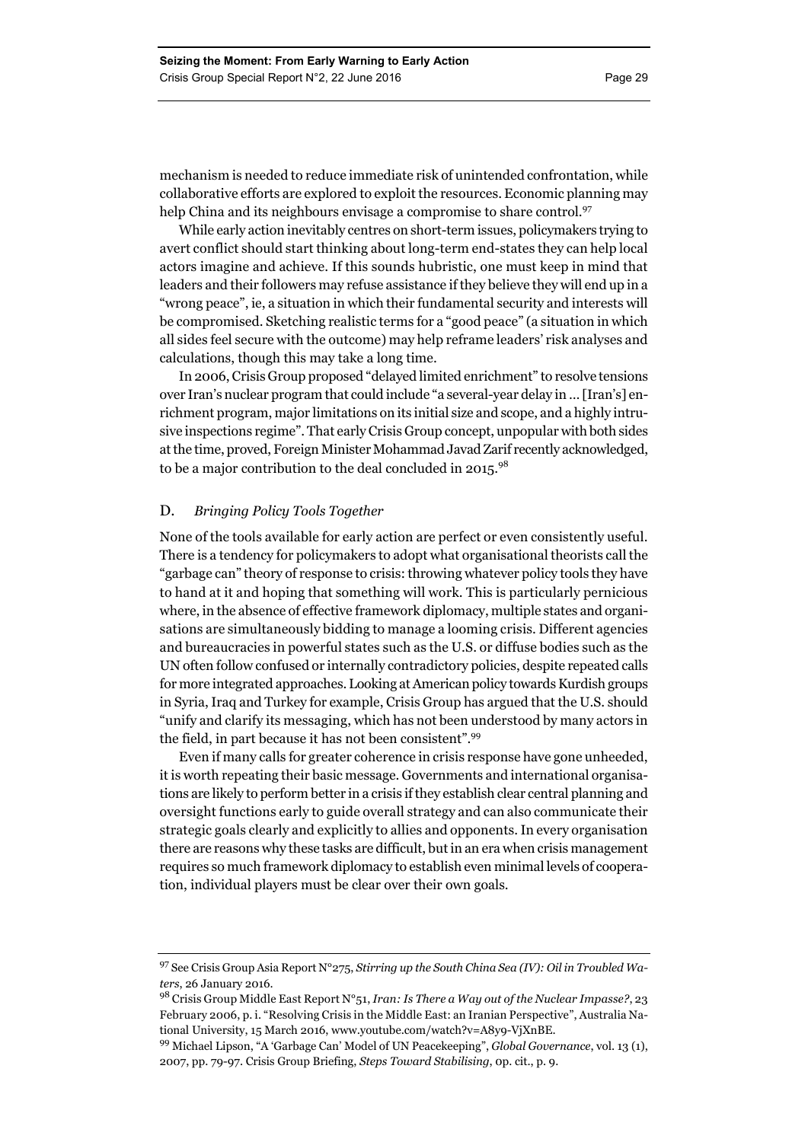mechanism is needed to reduce immediate risk of unintended confrontation, while collaborative efforts are explored to exploit the resources. Economic planning may help China and its neighbours envisage a compromise to share control.<sup>97</sup>

While early action inevitably centres on short-term issues, policymakers trying to avert conflict should start thinking about long-term end-states they can help local actors imagine and achieve. If this sounds hubristic, one must keep in mind that leaders and their followers may refuse assistance if they believe they will end up in a "wrong peace", ie, a situation in which their fundamental security and interests will be compromised. Sketching realistic terms for a "good peace" (a situation in which all sides feel secure with the outcome) may help reframe leaders' risk analyses and calculations, though this may take a long time.

In 2006, Crisis Group proposed "delayed limited enrichment" to resolve tensions over Iran's nuclear program that could include "a several-year delay in … [Iran's] enrichment program, major limitations on its initial size and scope, and a highly intrusive inspections regime". That early Crisis Group concept, unpopular with both sides at the time, proved, Foreign Minister Mohammad Javad Zarif recently acknowledged, to be a major contribution to the deal concluded in 2015.<sup>98</sup>

#### D. *Bringing Policy Tools Together*

None of the tools available for early action are perfect or even consistently useful. There is a tendency for policymakers to adopt what organisational theorists call the "garbage can" theory of response to crisis: throwing whatever policy tools they have to hand at it and hoping that something will work. This is particularly pernicious where, in the absence of effective framework diplomacy, multiple states and organisations are simultaneously bidding to manage a looming crisis. Different agencies and bureaucracies in powerful states such as the U.S. or diffuse bodies such as the UN often follow confused or internally contradictory policies, despite repeated calls for more integrated approaches. Looking at American policy towards Kurdish groups in Syria, Iraq and Turkey for example, Crisis Group has argued that the U.S. should "unify and clarify its messaging, which has not been understood by many actors in the field, in part because it has not been consistent".99

Even if many calls for greater coherence in crisis response have gone unheeded, it is worth repeating their basic message. Governments and international organisations are likely to perform better in a crisis if they establish clear central planning and oversight functions early to guide overall strategy and can also communicate their strategic goals clearly and explicitly to allies and opponents. In every organisation there are reasons why these tasks are difficult, but in an era when crisis management requires so much framework diplomacy to establish even minimal levels of cooperation, individual players must be clear over their own goals.

<sup>97</sup> See Crisis Group Asia Report N°275, *Stirring up the South China Sea (IV): Oil in Troubled Waters*, 26 January 2016.

<sup>98</sup> Crisis Group Middle East Report N°51, *Iran: Is There a Way out of the Nuclear Impasse?*, 23 February 2006, p. i. "Resolving Crisis in the Middle East: an Iranian Perspective", Australia National University, 15 March 2016, www.youtube.com/watch?v=A8y9-VjXnBE.

<sup>99</sup> Michael Lipson, "A 'Garbage Can' Model of UN Peacekeeping", *Global Governance*, vol. 13 (1), 2007, pp. 79-97. Crisis Group Briefing, *Steps Toward Stabilising*, 0p. cit., p. 9.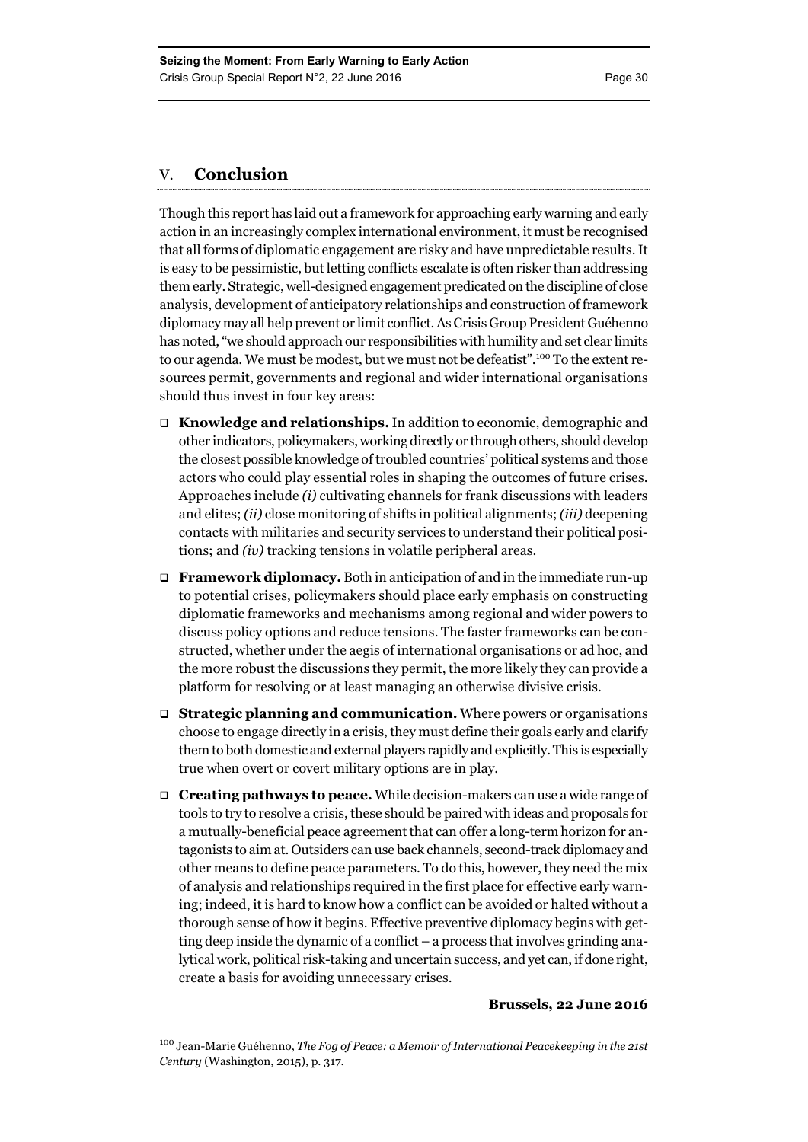#### V. **Conclusion**

Though this report has laid out a framework for approaching early warning and early action in an increasingly complex international environment, it must be recognised that all forms of diplomatic engagement are risky and have unpredictable results. It is easy to be pessimistic, but letting conflicts escalate is often risker than addressing them early. Strategic, well-designed engagement predicated on the discipline of close analysis, development of anticipatory relationships and construction of framework diplomacy may all help prevent or limit conflict. As Crisis Group President Guéhenno has noted, "we should approach our responsibilities with humility and set clear limits to our agenda. We must be modest, but we must not be defeatist".<sup>100</sup> To the extent resources permit, governments and regional and wider international organisations should thus invest in four key areas:

- **Knowledge and relationships.** In addition to economic, demographic and other indicators, policymakers, working directly or through others, should develop the closest possible knowledge of troubled countries' political systems and those actors who could play essential roles in shaping the outcomes of future crises. Approaches include *(i)* cultivating channels for frank discussions with leaders and elites; *(ii)* close monitoring of shifts in political alignments; *(iii)* deepening contacts with militaries and security services to understand their political positions; and *(iv)* tracking tensions in volatile peripheral areas.
- **Framework diplomacy.** Both in anticipation of and in the immediate run-up to potential crises, policymakers should place early emphasis on constructing diplomatic frameworks and mechanisms among regional and wider powers to discuss policy options and reduce tensions. The faster frameworks can be constructed, whether under the aegis of international organisations or ad hoc, and the more robust the discussions they permit, the more likely they can provide a platform for resolving or at least managing an otherwise divisive crisis.
- **Strategic planning and communication.** Where powers or organisations choose to engage directly in a crisis, they must define their goals early and clarify them to both domestic and external players rapidly and explicitly. This is especially true when overt or covert military options are in play.
- **Creating pathways to peace.** While decision-makers can use a wide range of tools to try to resolve a crisis, these should be paired with ideas and proposals for a mutually-beneficial peace agreement that can offer a long-term horizon for antagonists to aim at. Outsiders can use back channels, second-track diplomacy and other means to define peace parameters. To do this, however, they need the mix of analysis and relationships required in the first place for effective early warning; indeed, it is hard to know how a conflict can be avoided or halted without a thorough sense of how it begins. Effective preventive diplomacy begins with getting deep inside the dynamic of a conflict – a process that involves grinding analytical work, political risk-taking and uncertain success, and yet can, if done right, create a basis for avoiding unnecessary crises.

#### **Brussels, 22 June 2016**

<sup>100</sup> Jean-Marie Guéhenno, *The Fog of Peace: a Memoir of International Peacekeeping in the 21st Century* (Washington, 2015), p. 317.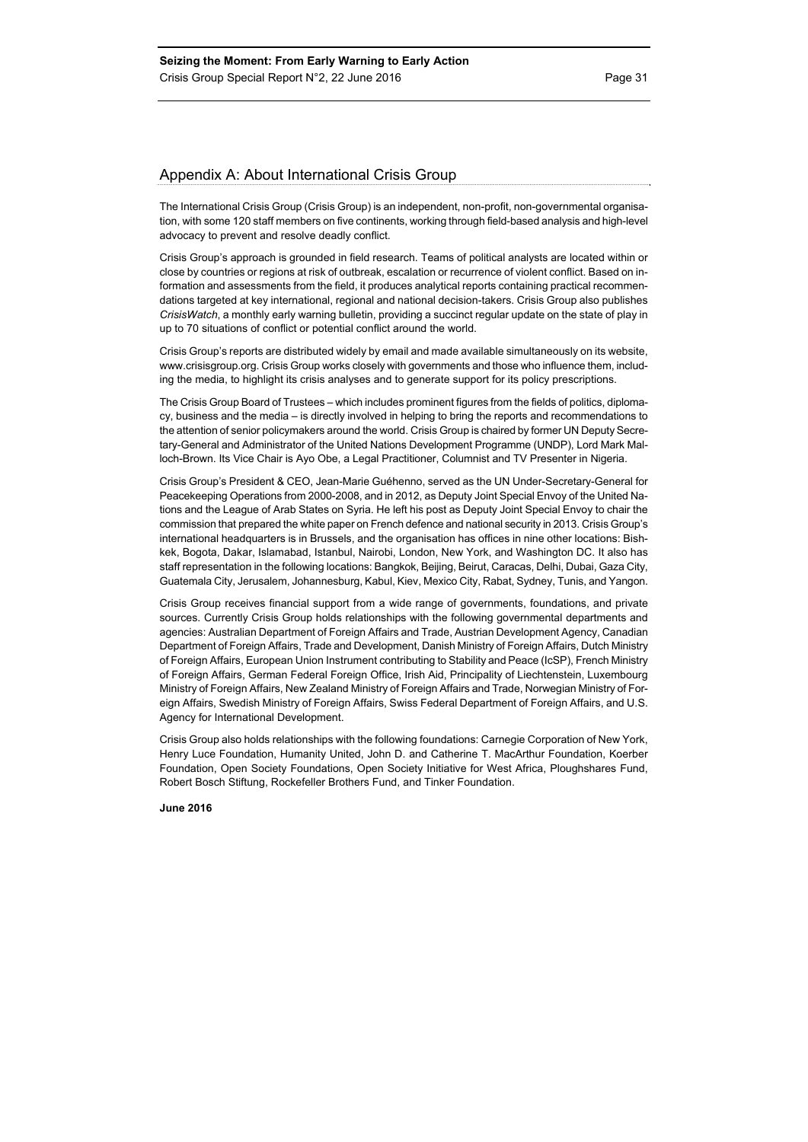#### Appendix A: About International Crisis Group

The International Crisis Group (Crisis Group) is an independent, non-profit, non-governmental organisation, with some 120 staff members on five continents, working through field-based analysis and high-level advocacy to prevent and resolve deadly conflict.

Crisis Group's approach is grounded in field research. Teams of political analysts are located within or close by countries or regions at risk of outbreak, escalation or recurrence of violent conflict. Based on information and assessments from the field, it produces analytical reports containing practical recommendations targeted at key international, regional and national decision-takers. Crisis Group also publishes *CrisisWatch*, a monthly early warning bulletin, providing a succinct regular update on the state of play in up to 70 situations of conflict or potential conflict around the world.

Crisis Group's reports are distributed widely by email and made available simultaneously on its website, www.crisisgroup.org. Crisis Group works closely with governments and those who influence them, including the media, to highlight its crisis analyses and to generate support for its policy prescriptions.

The Crisis Group Board of Trustees – which includes prominent figures from the fields of politics, diplomacy, business and the media – is directly involved in helping to bring the reports and recommendations to the attention of senior policymakers around the world. Crisis Group is chaired by former UN Deputy Secretary-General and Administrator of the United Nations Development Programme (UNDP), Lord Mark Malloch-Brown. Its Vice Chair is Ayo Obe, a Legal Practitioner, Columnist and TV Presenter in Nigeria.

Crisis Group's President & CEO, Jean-Marie Guéhenno, served as the UN Under-Secretary-General for Peacekeeping Operations from 2000-2008, and in 2012, as Deputy Joint Special Envoy of the United Nations and the League of Arab States on Syria. He left his post as Deputy Joint Special Envoy to chair the commission that prepared the white paper on French defence and national security in 2013. Crisis Group's international headquarters is in Brussels, and the organisation has offices in nine other locations: Bishkek, Bogota, Dakar, Islamabad, Istanbul, Nairobi, London, New York, and Washington DC. It also has staff representation in the following locations: Bangkok, Beijing, Beirut, Caracas, Delhi, Dubai, Gaza City, Guatemala City, Jerusalem, Johannesburg, Kabul, Kiev, Mexico City, Rabat, Sydney, Tunis, and Yangon.

Crisis Group receives financial support from a wide range of governments, foundations, and private sources. Currently Crisis Group holds relationships with the following governmental departments and agencies: Australian Department of Foreign Affairs and Trade, Austrian Development Agency, Canadian Department of Foreign Affairs, Trade and Development, Danish Ministry of Foreign Affairs, Dutch Ministry of Foreign Affairs, European Union Instrument contributing to Stability and Peace (IcSP), French Ministry of Foreign Affairs, German Federal Foreign Office, Irish Aid, Principality of Liechtenstein, Luxembourg Ministry of Foreign Affairs, New Zealand Ministry of Foreign Affairs and Trade, Norwegian Ministry of Foreign Affairs, Swedish Ministry of Foreign Affairs, Swiss Federal Department of Foreign Affairs, and U.S. Agency for International Development.

Crisis Group also holds relationships with the following foundations: Carnegie Corporation of New York, Henry Luce Foundation, Humanity United, John D. and Catherine T. MacArthur Foundation, Koerber Foundation, Open Society Foundations, Open Society Initiative for West Africa, Ploughshares Fund, Robert Bosch Stiftung, Rockefeller Brothers Fund, and Tinker Foundation.

**June 2016**